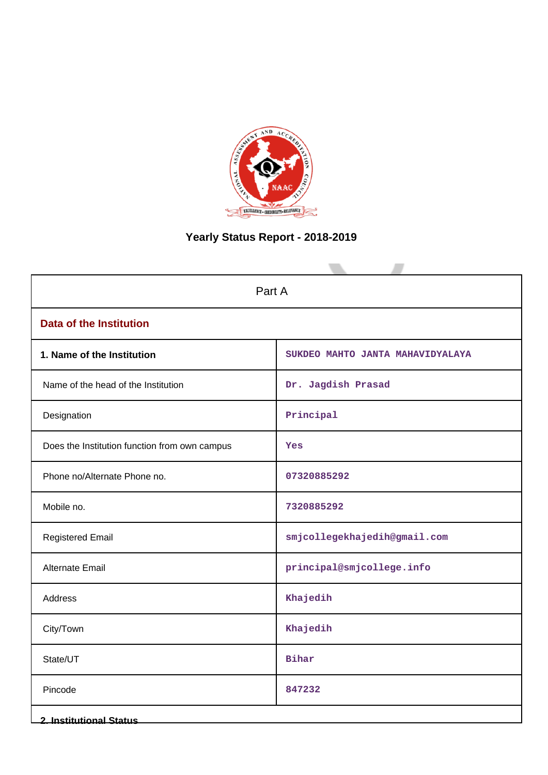

# **Yearly Status Report - 2018-2019**

|                                               | Part A                           |  |  |  |  |  |  |  |  |  |
|-----------------------------------------------|----------------------------------|--|--|--|--|--|--|--|--|--|
| <b>Data of the Institution</b>                |                                  |  |  |  |  |  |  |  |  |  |
| 1. Name of the Institution                    | SUKDEO MAHTO JANTA MAHAVIDYALAYA |  |  |  |  |  |  |  |  |  |
| Name of the head of the Institution           | Dr. Jagdish Prasad               |  |  |  |  |  |  |  |  |  |
| Designation                                   | Principal                        |  |  |  |  |  |  |  |  |  |
| Does the Institution function from own campus | Yes                              |  |  |  |  |  |  |  |  |  |
| Phone no/Alternate Phone no.                  | 07320885292                      |  |  |  |  |  |  |  |  |  |
| Mobile no.                                    | 7320885292                       |  |  |  |  |  |  |  |  |  |
| <b>Registered Email</b>                       | smjcollegekhajedih@gmail.com     |  |  |  |  |  |  |  |  |  |
| Alternate Email                               | principal@smjcollege.info        |  |  |  |  |  |  |  |  |  |
| Address                                       | Khajedih                         |  |  |  |  |  |  |  |  |  |
| City/Town                                     | Khajedih                         |  |  |  |  |  |  |  |  |  |
| State/UT                                      | <b>Bihar</b>                     |  |  |  |  |  |  |  |  |  |
| Pincode                                       | 847232                           |  |  |  |  |  |  |  |  |  |
| <b>2. Institutional Status</b>                |                                  |  |  |  |  |  |  |  |  |  |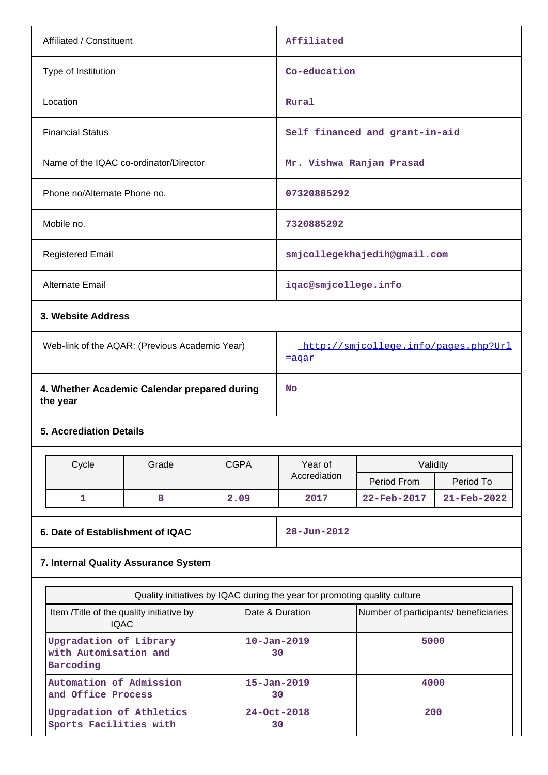| Affiliated / Constituent                                     |       |             | Affiliated                                                                                   |                                       |             |  |  |  |
|--------------------------------------------------------------|-------|-------------|----------------------------------------------------------------------------------------------|---------------------------------------|-------------|--|--|--|
| Type of Institution                                          |       |             | Co-education                                                                                 |                                       |             |  |  |  |
| Location                                                     |       |             | Rural                                                                                        |                                       |             |  |  |  |
| <b>Financial Status</b>                                      |       |             |                                                                                              | Self financed and grant-in-aid        |             |  |  |  |
| Name of the IQAC co-ordinator/Director                       |       |             |                                                                                              | Mr. Vishwa Ranjan Prasad              |             |  |  |  |
| Phone no/Alternate Phone no.                                 |       |             | 07320885292                                                                                  |                                       |             |  |  |  |
| Mobile no.                                                   |       |             | 7320885292                                                                                   |                                       |             |  |  |  |
| <b>Registered Email</b>                                      |       |             |                                                                                              | smjcollegekhajedih@gmail.com          |             |  |  |  |
| <b>Alternate Email</b>                                       |       |             | iqac@smjcollege.info                                                                         |                                       |             |  |  |  |
| 3. Website Address                                           |       |             |                                                                                              |                                       |             |  |  |  |
| Web-link of the AQAR: (Previous Academic Year)               |       |             | http://smjcollege.info/pages.php?Url<br><u>=aqar</u>                                         |                                       |             |  |  |  |
| 4. Whether Academic Calendar prepared during<br>the year     |       |             | <b>No</b>                                                                                    |                                       |             |  |  |  |
| <b>5. Accrediation Details</b>                               |       |             |                                                                                              |                                       |             |  |  |  |
| Cycle                                                        | Grade | <b>CGPA</b> | Year of                                                                                      | Validity                              |             |  |  |  |
|                                                              |       |             | Accrediation                                                                                 | Period From                           | Period To   |  |  |  |
| 1                                                            | в     | 2.09        | 2017                                                                                         | 22-Feb-2017                           | 21-Feb-2022 |  |  |  |
| 6. Date of Establishment of IQAC                             |       |             | $28 - Jun - 2012$                                                                            |                                       |             |  |  |  |
| 7. Internal Quality Assurance System                         |       |             |                                                                                              |                                       |             |  |  |  |
|                                                              |       |             |                                                                                              |                                       |             |  |  |  |
|                                                              |       |             | Quality initiatives by IQAC during the year for promoting quality culture<br>Date & Duration |                                       |             |  |  |  |
| Item /Title of the quality initiative by<br><b>IQAC</b>      |       |             |                                                                                              | Number of participants/ beneficiaries |             |  |  |  |
| Upgradation of Library<br>with Automisation and<br>Barcoding |       |             | $10 - Jan - 2019$<br>5000<br>30                                                              |                                       |             |  |  |  |
| Automation of Admission<br>and Office Process                |       |             | $15 - Jan - 2019$                                                                            | 4000                                  |             |  |  |  |
| Upgradation of Athletics<br>Sports Facilities with           |       |             | 30<br>24-Oct-2018<br>200<br>30                                                               |                                       |             |  |  |  |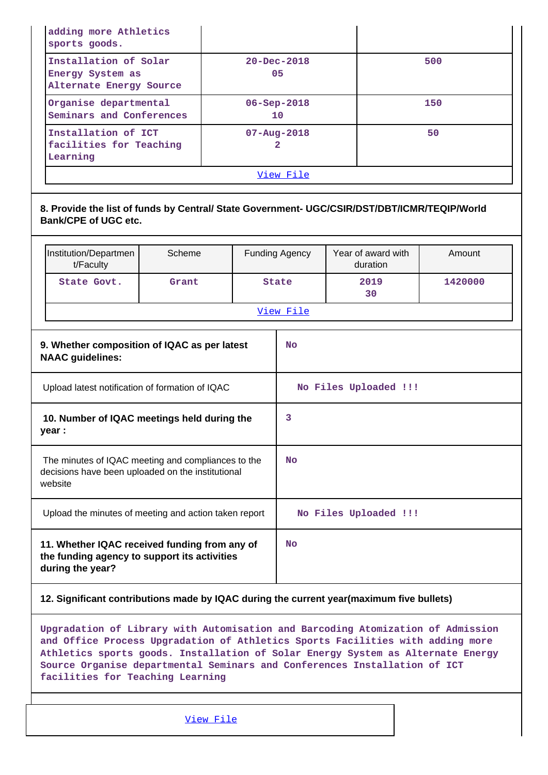| adding more Athletics<br>sports goods.                                                                                                                            |        |                         |                       |         |  |  |  |
|-------------------------------------------------------------------------------------------------------------------------------------------------------------------|--------|-------------------------|-----------------------|---------|--|--|--|
| Installation of Solar<br>Energy System as<br>Alternate Energy Source                                                                                              |        | $20 - Dec - 2018$<br>05 |                       | 500     |  |  |  |
| Organise departmental<br>Seminars and Conferences                                                                                                                 |        | 06-Sep-2018<br>10       |                       | 150     |  |  |  |
| Installation of ICT<br>facilities for Teaching<br>Learning                                                                                                        |        | $07 - Aug - 2018$<br>2  |                       | 50      |  |  |  |
|                                                                                                                                                                   |        | View File               |                       |         |  |  |  |
| 8. Provide the list of funds by Central/ State Government- UGC/CSIR/DST/DBT/ICMR/TEQIP/World<br><b>Bank/CPE of UGC etc.</b><br>Institution/Departmen              | Scheme | <b>Funding Agency</b>   | Year of award with    | Amount  |  |  |  |
| t/Faculty                                                                                                                                                         |        |                         | duration              |         |  |  |  |
| State Govt.                                                                                                                                                       | Grant  | State                   | 2019<br>30            | 1420000 |  |  |  |
|                                                                                                                                                                   |        | View File               |                       |         |  |  |  |
| 9. Whether composition of IQAC as per latest<br><b>NAAC</b> guidelines:                                                                                           |        | No                      |                       |         |  |  |  |
| Upload latest notification of formation of IQAC                                                                                                                   |        | No Files Uploaded !!!   |                       |         |  |  |  |
| 10. Number of IQAC meetings held during the<br>year :                                                                                                             |        | 3                       |                       |         |  |  |  |
| The minutes of IQAC meeting and compliances to the<br>decisions have been uploaded on the institutional<br>website                                                |        | No                      |                       |         |  |  |  |
| Upload the minutes of meeting and action taken report                                                                                                             |        |                         | No Files Uploaded !!! |         |  |  |  |
| 11. Whether IQAC received funding from any of<br>the funding agency to support its activities<br>during the year?                                                 |        | No                      |                       |         |  |  |  |
| 12. Significant contributions made by IQAC during the current year(maximum five bullets)                                                                          |        |                         |                       |         |  |  |  |
| Upgradation of Library with Automisation and Barcoding Atomization of Admission<br>and Office Process Upgradation of Athletics Sports Facilities with adding more |        |                         |                       |         |  |  |  |

**Athletics sports goods. Installation of Solar Energy System as Alternate Energy Source Organise departmental Seminars and Conferences Installation of ICT facilities for Teaching Learning**

[View File](https://assessmentonline.naac.gov.in/public/Postacc/Contribution/5117_Contribution.xlsx)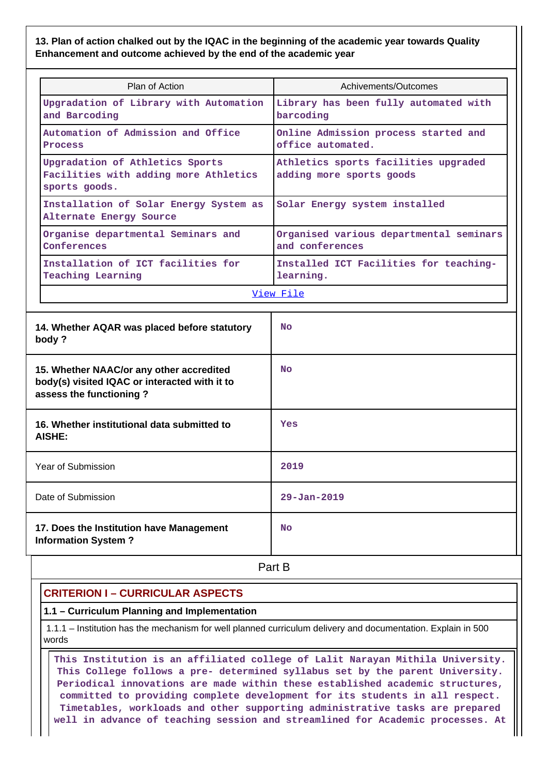**13. Plan of action chalked out by the IQAC in the beginning of the academic year towards Quality Enhancement and outcome achieved by the end of the academic year**

| Plan of Action                                                                                                       | Achivements/Outcomes                                             |
|----------------------------------------------------------------------------------------------------------------------|------------------------------------------------------------------|
| Upgradation of Library with Automation<br>and Barcoding                                                              | Library has been fully automated with<br>barcoding               |
| Automation of Admission and Office<br>Process                                                                        | Online Admission process started and<br>office automated.        |
| Upgradation of Athletics Sports<br>Facilities with adding more Athletics<br>sports goods.                            | Athletics sports facilities upgraded<br>adding more sports goods |
| Installation of Solar Energy System as<br>Alternate Energy Source                                                    | Solar Energy system installed                                    |
| Organise departmental Seminars and<br>Conferences                                                                    | Organised various departmental seminars<br>and conferences       |
| Installation of ICT facilities for<br><b>Teaching Learning</b>                                                       | Installed ICT Facilities for teaching-<br>learning.              |
|                                                                                                                      | View File                                                        |
| 14. Whether AQAR was placed before statutory<br>body?                                                                | <b>No</b>                                                        |
| 15. Whether NAAC/or any other accredited<br>body(s) visited IQAC or interacted with it to<br>assess the functioning? | <b>No</b>                                                        |
| 16. Whether institutional data submitted to<br>AISHE:                                                                | <b>Yes</b>                                                       |
| Year of Submission                                                                                                   | 2019                                                             |
| Date of Submission                                                                                                   | $29 - Jan - 2019$                                                |
| 17. Does the Institution have Management<br><b>Information System?</b>                                               | No                                                               |
|                                                                                                                      | Part B                                                           |

# **CRITERION I – CURRICULAR ASPECTS**

**1.1 – Curriculum Planning and Implementation**

 1.1.1 – Institution has the mechanism for well planned curriculum delivery and documentation. Explain in 500 words

 **This Institution is an affiliated college of Lalit Narayan Mithila University. This College follows a pre- determined syllabus set by the parent University. Periodical innovations are made within these established academic structures, committed to providing complete development for its students in all respect. Timetables, workloads and other supporting administrative tasks are prepared well in advance of teaching session and streamlined for Academic processes. At**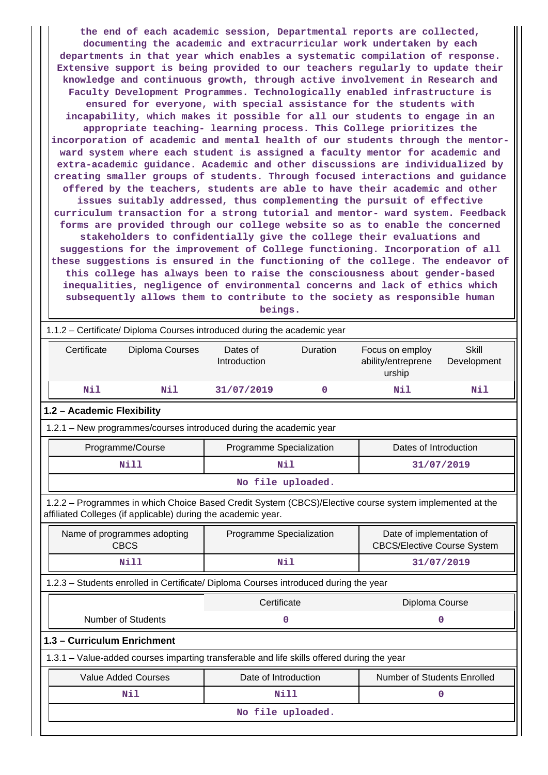**the end of each academic session, Departmental reports are collected, documenting the academic and extracurricular work undertaken by each departments in that year which enables a systematic compilation of response. Extensive support is being provided to our teachers regularly to update their knowledge and continuous growth, through active involvement in Research and Faculty Development Programmes. Technologically enabled infrastructure is ensured for everyone, with special assistance for the students with incapability, which makes it possible for all our students to engage in an appropriate teaching- learning process. This College prioritizes the incorporation of academic and mental health of our students through the mentorward system where each student is assigned a faculty mentor for academic and extra-academic guidance. Academic and other discussions are individualized by creating smaller groups of students. Through focused interactions and guidance offered by the teachers, students are able to have their academic and other issues suitably addressed, thus complementing the pursuit of effective curriculum transaction for a strong tutorial and mentor- ward system. Feedback forms are provided through our college website so as to enable the concerned stakeholders to confidentially give the college their evaluations and suggestions for the improvement of College functioning. Incorporation of all these suggestions is ensured in the functioning of the college. The endeavor of this college has always been to raise the consciousness about gender-based inequalities, negligence of environmental concerns and lack of ethics which subsequently allows them to contribute to the society as responsible human beings.**

| 1.1.2 - Certificate/ Diploma Courses introduced during the academic year                                                                                                 |                                                                                            |                          |             |                                                                 |                             |  |  |  |  |  |  |
|--------------------------------------------------------------------------------------------------------------------------------------------------------------------------|--------------------------------------------------------------------------------------------|--------------------------|-------------|-----------------------------------------------------------------|-----------------------------|--|--|--|--|--|--|
| Certificate                                                                                                                                                              | Diploma Courses                                                                            | Dates of<br>Introduction | Duration    | Focus on employ<br>ability/entreprene<br>urship                 | <b>Skill</b><br>Development |  |  |  |  |  |  |
| <b>Nil</b>                                                                                                                                                               | Nil                                                                                        | 31/07/2019               | $\mathbf 0$ | Nil                                                             | Nil                         |  |  |  |  |  |  |
| 1.2 - Academic Flexibility                                                                                                                                               |                                                                                            |                          |             |                                                                 |                             |  |  |  |  |  |  |
| 1.2.1 - New programmes/courses introduced during the academic year                                                                                                       |                                                                                            |                          |             |                                                                 |                             |  |  |  |  |  |  |
|                                                                                                                                                                          | Programme/Course                                                                           | Programme Specialization |             | Dates of Introduction                                           |                             |  |  |  |  |  |  |
|                                                                                                                                                                          | Nill                                                                                       | Nil                      |             |                                                                 | 31/07/2019                  |  |  |  |  |  |  |
| No file uploaded.                                                                                                                                                        |                                                                                            |                          |             |                                                                 |                             |  |  |  |  |  |  |
| 1.2.2 - Programmes in which Choice Based Credit System (CBCS)/Elective course system implemented at the<br>affiliated Colleges (if applicable) during the academic year. |                                                                                            |                          |             |                                                                 |                             |  |  |  |  |  |  |
|                                                                                                                                                                          | Name of programmes adopting<br><b>CBCS</b>                                                 | Programme Specialization |             | Date of implementation of<br><b>CBCS/Elective Course System</b> |                             |  |  |  |  |  |  |
|                                                                                                                                                                          | Nill                                                                                       | Nil                      |             |                                                                 | 31/07/2019                  |  |  |  |  |  |  |
|                                                                                                                                                                          | 1.2.3 - Students enrolled in Certificate/ Diploma Courses introduced during the year       |                          |             |                                                                 |                             |  |  |  |  |  |  |
|                                                                                                                                                                          |                                                                                            | Certificate              |             | Diploma Course                                                  |                             |  |  |  |  |  |  |
|                                                                                                                                                                          | <b>Number of Students</b>                                                                  |                          | $\mathbf 0$ |                                                                 | 0                           |  |  |  |  |  |  |
| 1.3 - Curriculum Enrichment                                                                                                                                              |                                                                                            |                          |             |                                                                 |                             |  |  |  |  |  |  |
|                                                                                                                                                                          | 1.3.1 - Value-added courses imparting transferable and life skills offered during the year |                          |             |                                                                 |                             |  |  |  |  |  |  |
|                                                                                                                                                                          | <b>Value Added Courses</b>                                                                 | Date of Introduction     |             | Number of Students Enrolled                                     |                             |  |  |  |  |  |  |
|                                                                                                                                                                          | Nil                                                                                        | Nill                     |             |                                                                 | 0                           |  |  |  |  |  |  |
|                                                                                                                                                                          |                                                                                            | No file uploaded.        |             |                                                                 |                             |  |  |  |  |  |  |
|                                                                                                                                                                          |                                                                                            |                          |             |                                                                 |                             |  |  |  |  |  |  |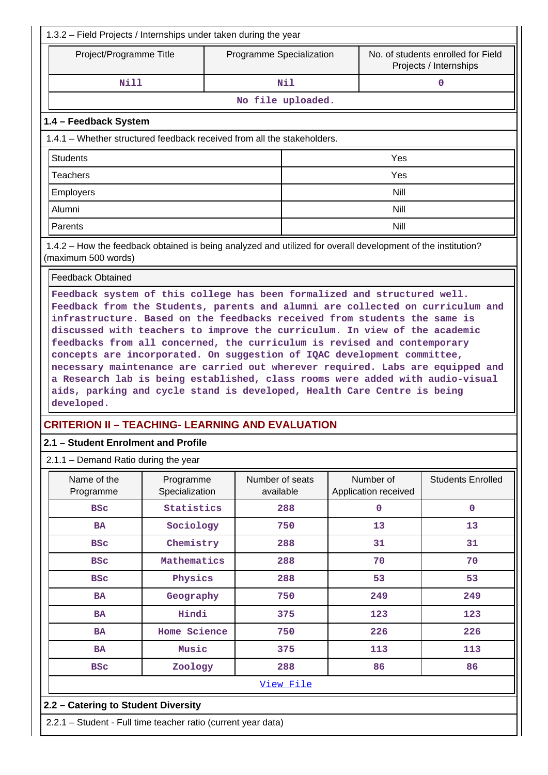| Project/Programme Title                                                                                                                                                                                                                                                                                                                                                                                                                                                                                                                                                                                                                                      |                             | Programme Specialization     |                                   | No. of students enrolled for Field<br>Projects / Internships |  |  |  |  |  |
|--------------------------------------------------------------------------------------------------------------------------------------------------------------------------------------------------------------------------------------------------------------------------------------------------------------------------------------------------------------------------------------------------------------------------------------------------------------------------------------------------------------------------------------------------------------------------------------------------------------------------------------------------------------|-----------------------------|------------------------------|-----------------------------------|--------------------------------------------------------------|--|--|--|--|--|
| Nill                                                                                                                                                                                                                                                                                                                                                                                                                                                                                                                                                                                                                                                         |                             | Nil                          |                                   | $\mathbf 0$                                                  |  |  |  |  |  |
|                                                                                                                                                                                                                                                                                                                                                                                                                                                                                                                                                                                                                                                              |                             | No file uploaded.            |                                   |                                                              |  |  |  |  |  |
|                                                                                                                                                                                                                                                                                                                                                                                                                                                                                                                                                                                                                                                              |                             |                              |                                   |                                                              |  |  |  |  |  |
| 1.4 - Feedback System                                                                                                                                                                                                                                                                                                                                                                                                                                                                                                                                                                                                                                        |                             |                              |                                   |                                                              |  |  |  |  |  |
| 1.4.1 – Whether structured feedback received from all the stakeholders.                                                                                                                                                                                                                                                                                                                                                                                                                                                                                                                                                                                      |                             |                              |                                   |                                                              |  |  |  |  |  |
| <b>Students</b>                                                                                                                                                                                                                                                                                                                                                                                                                                                                                                                                                                                                                                              |                             |                              | Yes                               |                                                              |  |  |  |  |  |
| Teachers                                                                                                                                                                                                                                                                                                                                                                                                                                                                                                                                                                                                                                                     |                             |                              | Yes                               |                                                              |  |  |  |  |  |
| Employers                                                                                                                                                                                                                                                                                                                                                                                                                                                                                                                                                                                                                                                    |                             |                              | Nill                              |                                                              |  |  |  |  |  |
| Alumni                                                                                                                                                                                                                                                                                                                                                                                                                                                                                                                                                                                                                                                       |                             |                              | <b>Nill</b>                       |                                                              |  |  |  |  |  |
| Parents                                                                                                                                                                                                                                                                                                                                                                                                                                                                                                                                                                                                                                                      |                             |                              | Nill                              |                                                              |  |  |  |  |  |
| 1.4.2 - How the feedback obtained is being analyzed and utilized for overall development of the institution?<br>(maximum 500 words)                                                                                                                                                                                                                                                                                                                                                                                                                                                                                                                          |                             |                              |                                   |                                                              |  |  |  |  |  |
| <b>Feedback Obtained</b>                                                                                                                                                                                                                                                                                                                                                                                                                                                                                                                                                                                                                                     |                             |                              |                                   |                                                              |  |  |  |  |  |
| Feedback from the Students, parents and alumni are collected on curriculum and<br>infrastructure. Based on the feedbacks received from students the same is<br>discussed with teachers to improve the curriculum. In view of the academic<br>feedbacks from all concerned, the curriculum is revised and contemporary<br>concepts are incorporated. On suggestion of IQAC development committee,<br>necessary maintenance are carried out wherever required. Labs are equipped and<br>a Research lab is being established, class rooms were added with audio-visual<br>aids, parking and cycle stand is developed, Health Care Centre is being<br>developed. |                             |                              |                                   |                                                              |  |  |  |  |  |
| <b>CRITERION II - TEACHING- LEARNING AND EVALUATION</b>                                                                                                                                                                                                                                                                                                                                                                                                                                                                                                                                                                                                      |                             |                              |                                   |                                                              |  |  |  |  |  |
|                                                                                                                                                                                                                                                                                                                                                                                                                                                                                                                                                                                                                                                              |                             |                              |                                   |                                                              |  |  |  |  |  |
|                                                                                                                                                                                                                                                                                                                                                                                                                                                                                                                                                                                                                                                              |                             |                              |                                   |                                                              |  |  |  |  |  |
|                                                                                                                                                                                                                                                                                                                                                                                                                                                                                                                                                                                                                                                              |                             |                              |                                   |                                                              |  |  |  |  |  |
| Name of the<br>Programme                                                                                                                                                                                                                                                                                                                                                                                                                                                                                                                                                                                                                                     | Programme<br>Specialization | Number of seats<br>available | Number of<br>Application received |                                                              |  |  |  |  |  |
| <b>BSC</b>                                                                                                                                                                                                                                                                                                                                                                                                                                                                                                                                                                                                                                                   | Statistics                  | 288                          | $\mathbf 0$                       | $\mathbf 0$                                                  |  |  |  |  |  |
| <b>BA</b>                                                                                                                                                                                                                                                                                                                                                                                                                                                                                                                                                                                                                                                    | Sociology                   | 750                          | 13                                | 13                                                           |  |  |  |  |  |
| <b>BSC</b>                                                                                                                                                                                                                                                                                                                                                                                                                                                                                                                                                                                                                                                   | Chemistry                   | 288                          | 31                                | 31                                                           |  |  |  |  |  |
| <b>BSC</b>                                                                                                                                                                                                                                                                                                                                                                                                                                                                                                                                                                                                                                                   | Mathematics                 | 288                          | 70                                | 70                                                           |  |  |  |  |  |
| <b>BSC</b>                                                                                                                                                                                                                                                                                                                                                                                                                                                                                                                                                                                                                                                   | Physics                     | 288                          | 53                                | 53                                                           |  |  |  |  |  |
| <b>BA</b>                                                                                                                                                                                                                                                                                                                                                                                                                                                                                                                                                                                                                                                    | Geography                   | 750                          | 249                               | 249                                                          |  |  |  |  |  |
| <b>BA</b>                                                                                                                                                                                                                                                                                                                                                                                                                                                                                                                                                                                                                                                    | Hindi                       | 375                          | 123                               | 123                                                          |  |  |  |  |  |
| <b>BA</b>                                                                                                                                                                                                                                                                                                                                                                                                                                                                                                                                                                                                                                                    | Home Science                | 750                          | 226                               | 226                                                          |  |  |  |  |  |
| BA                                                                                                                                                                                                                                                                                                                                                                                                                                                                                                                                                                                                                                                           | Music                       | 375                          | 113                               | <b>Students Enrolled</b><br>113                              |  |  |  |  |  |
| 2.1 - Student Enrolment and Profile<br>$2.1.1 -$ Demand Ratio during the year<br><b>BSC</b>                                                                                                                                                                                                                                                                                                                                                                                                                                                                                                                                                                  | Zoology                     | 288                          | 86                                | 86                                                           |  |  |  |  |  |
|                                                                                                                                                                                                                                                                                                                                                                                                                                                                                                                                                                                                                                                              |                             | View File                    |                                   |                                                              |  |  |  |  |  |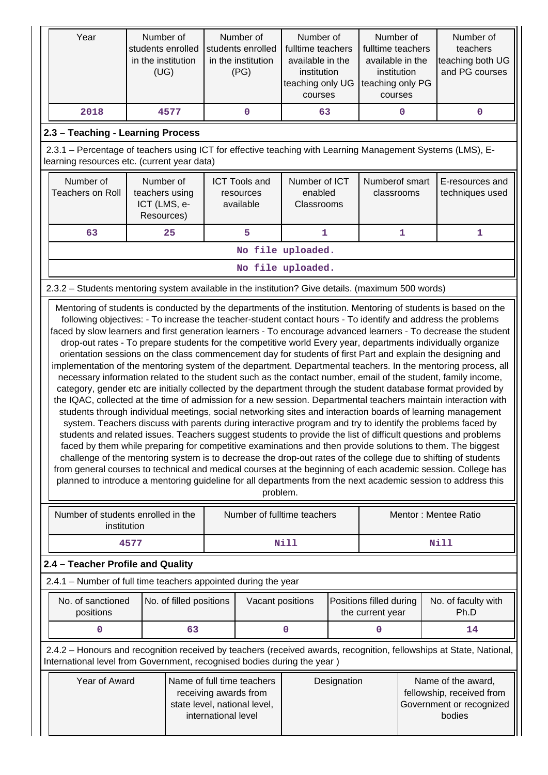| Year                                                                                                                                                                                                                                                                                                           |             | Number of<br>students enrolled<br>in the institution<br>(UG) | Number of<br>students enrolled<br>in the institution<br>(PG) |          | Number of<br>Number of<br>fulltime teachers<br>fulltime teachers<br>available in the<br>available in the<br>institution<br>institution<br>teaching only UG<br>teaching only PG<br>courses<br>courses |  |                                             |   | Number of<br>teachers<br>teaching both UG<br>and PG courses                                                                                                                                                                                                                                                                                                                                                                                                                                                                                                                                                                                                                                                                                                                                                                                                                                                                                                                                                                                                                                                                                                                                                                                                                                                                                                                                                                                                                                                                                                                                                                            |
|----------------------------------------------------------------------------------------------------------------------------------------------------------------------------------------------------------------------------------------------------------------------------------------------------------------|-------------|--------------------------------------------------------------|--------------------------------------------------------------|----------|------------------------------------------------------------------------------------------------------------------------------------------------------------------------------------------------------|--|---------------------------------------------|---|----------------------------------------------------------------------------------------------------------------------------------------------------------------------------------------------------------------------------------------------------------------------------------------------------------------------------------------------------------------------------------------------------------------------------------------------------------------------------------------------------------------------------------------------------------------------------------------------------------------------------------------------------------------------------------------------------------------------------------------------------------------------------------------------------------------------------------------------------------------------------------------------------------------------------------------------------------------------------------------------------------------------------------------------------------------------------------------------------------------------------------------------------------------------------------------------------------------------------------------------------------------------------------------------------------------------------------------------------------------------------------------------------------------------------------------------------------------------------------------------------------------------------------------------------------------------------------------------------------------------------------------|
| 2018                                                                                                                                                                                                                                                                                                           |             | 4577                                                         | 0                                                            |          | 63                                                                                                                                                                                                   |  |                                             | 0 | 0                                                                                                                                                                                                                                                                                                                                                                                                                                                                                                                                                                                                                                                                                                                                                                                                                                                                                                                                                                                                                                                                                                                                                                                                                                                                                                                                                                                                                                                                                                                                                                                                                                      |
| 2.3 - Teaching - Learning Process                                                                                                                                                                                                                                                                              |             |                                                              |                                                              |          |                                                                                                                                                                                                      |  |                                             |   |                                                                                                                                                                                                                                                                                                                                                                                                                                                                                                                                                                                                                                                                                                                                                                                                                                                                                                                                                                                                                                                                                                                                                                                                                                                                                                                                                                                                                                                                                                                                                                                                                                        |
| 2.3.1 – Percentage of teachers using ICT for effective teaching with Learning Management Systems (LMS), E-<br>learning resources etc. (current year data)                                                                                                                                                      |             |                                                              |                                                              |          |                                                                                                                                                                                                      |  |                                             |   |                                                                                                                                                                                                                                                                                                                                                                                                                                                                                                                                                                                                                                                                                                                                                                                                                                                                                                                                                                                                                                                                                                                                                                                                                                                                                                                                                                                                                                                                                                                                                                                                                                        |
| Number of<br><b>Teachers on Roll</b>                                                                                                                                                                                                                                                                           |             | Number of<br>teachers using<br>ICT (LMS, e-<br>Resources)    | <b>ICT Tools and</b><br>resources<br>available               |          | Number of ICT<br>enabled<br>Classrooms                                                                                                                                                               |  | Numberof smart<br>classrooms                |   | E-resources and<br>techniques used                                                                                                                                                                                                                                                                                                                                                                                                                                                                                                                                                                                                                                                                                                                                                                                                                                                                                                                                                                                                                                                                                                                                                                                                                                                                                                                                                                                                                                                                                                                                                                                                     |
| 63                                                                                                                                                                                                                                                                                                             |             | 25<br>5<br>1                                                 |                                                              |          |                                                                                                                                                                                                      |  |                                             | 1 | 1                                                                                                                                                                                                                                                                                                                                                                                                                                                                                                                                                                                                                                                                                                                                                                                                                                                                                                                                                                                                                                                                                                                                                                                                                                                                                                                                                                                                                                                                                                                                                                                                                                      |
|                                                                                                                                                                                                                                                                                                                |             |                                                              |                                                              |          | No file uploaded.                                                                                                                                                                                    |  |                                             |   |                                                                                                                                                                                                                                                                                                                                                                                                                                                                                                                                                                                                                                                                                                                                                                                                                                                                                                                                                                                                                                                                                                                                                                                                                                                                                                                                                                                                                                                                                                                                                                                                                                        |
|                                                                                                                                                                                                                                                                                                                |             |                                                              |                                                              |          | No file uploaded.                                                                                                                                                                                    |  |                                             |   |                                                                                                                                                                                                                                                                                                                                                                                                                                                                                                                                                                                                                                                                                                                                                                                                                                                                                                                                                                                                                                                                                                                                                                                                                                                                                                                                                                                                                                                                                                                                                                                                                                        |
| 2.3.2 - Students mentoring system available in the institution? Give details. (maximum 500 words)                                                                                                                                                                                                              |             |                                                              |                                                              |          |                                                                                                                                                                                                      |  |                                             |   |                                                                                                                                                                                                                                                                                                                                                                                                                                                                                                                                                                                                                                                                                                                                                                                                                                                                                                                                                                                                                                                                                                                                                                                                                                                                                                                                                                                                                                                                                                                                                                                                                                        |
|                                                                                                                                                                                                                                                                                                                |             |                                                              |                                                              | problem. |                                                                                                                                                                                                      |  |                                             |   | faced by slow learners and first generation learners - To encourage advanced learners - To decrease the student<br>drop-out rates - To prepare students for the competitive world Every year, departments individually organize<br>orientation sessions on the class commencement day for students of first Part and explain the designing and<br>implementation of the mentoring system of the department. Departmental teachers. In the mentoring process, all<br>necessary information related to the student such as the contact number, email of the student, family income,<br>category, gender etc are initially collected by the department through the student database format provided by<br>the IQAC, collected at the time of admission for a new session. Departmental teachers maintain interaction with<br>students through individual meetings, social networking sites and interaction boards of learning management<br>system. Teachers discuss with parents during interactive program and try to identify the problems faced by<br>students and related issues. Teachers suggest students to provide the list of difficult questions and problems<br>faced by them while preparing for competitive examinations and then provide solutions to them. The biggest<br>challenge of the mentoring system is to decrease the drop-out rates of the college due to shifting of students<br>from general courses to technical and medical courses at the beginning of each academic session. College has<br>planned to introduce a mentoring guideline for all departments from the next academic session to address this |
| Number of students enrolled in the                                                                                                                                                                                                                                                                             | institution |                                                              |                                                              |          | Number of fulltime teachers                                                                                                                                                                          |  |                                             |   | Mentor: Mentee Ratio                                                                                                                                                                                                                                                                                                                                                                                                                                                                                                                                                                                                                                                                                                                                                                                                                                                                                                                                                                                                                                                                                                                                                                                                                                                                                                                                                                                                                                                                                                                                                                                                                   |
|                                                                                                                                                                                                                                                                                                                | 4577        |                                                              |                                                              |          | <b>Nill</b>                                                                                                                                                                                          |  |                                             |   | Nill                                                                                                                                                                                                                                                                                                                                                                                                                                                                                                                                                                                                                                                                                                                                                                                                                                                                                                                                                                                                                                                                                                                                                                                                                                                                                                                                                                                                                                                                                                                                                                                                                                   |
| 2.4 - Teacher Profile and Quality                                                                                                                                                                                                                                                                              |             |                                                              |                                                              |          |                                                                                                                                                                                                      |  |                                             |   |                                                                                                                                                                                                                                                                                                                                                                                                                                                                                                                                                                                                                                                                                                                                                                                                                                                                                                                                                                                                                                                                                                                                                                                                                                                                                                                                                                                                                                                                                                                                                                                                                                        |
| 2.4.1 - Number of full time teachers appointed during the year                                                                                                                                                                                                                                                 |             |                                                              |                                                              |          |                                                                                                                                                                                                      |  |                                             |   |                                                                                                                                                                                                                                                                                                                                                                                                                                                                                                                                                                                                                                                                                                                                                                                                                                                                                                                                                                                                                                                                                                                                                                                                                                                                                                                                                                                                                                                                                                                                                                                                                                        |
| No. of sanctioned<br>positions                                                                                                                                                                                                                                                                                 |             | No. of filled positions                                      |                                                              |          | Vacant positions                                                                                                                                                                                     |  | Positions filled during<br>the current year |   | No. of faculty with<br>Ph.D                                                                                                                                                                                                                                                                                                                                                                                                                                                                                                                                                                                                                                                                                                                                                                                                                                                                                                                                                                                                                                                                                                                                                                                                                                                                                                                                                                                                                                                                                                                                                                                                            |
| 0                                                                                                                                                                                                                                                                                                              |             | 63                                                           |                                                              |          | 0                                                                                                                                                                                                    |  | 0                                           |   | 14                                                                                                                                                                                                                                                                                                                                                                                                                                                                                                                                                                                                                                                                                                                                                                                                                                                                                                                                                                                                                                                                                                                                                                                                                                                                                                                                                                                                                                                                                                                                                                                                                                     |
|                                                                                                                                                                                                                                                                                                                |             |                                                              |                                                              |          |                                                                                                                                                                                                      |  |                                             |   | 2.4.2 - Honours and recognition received by teachers (received awards, recognition, fellowships at State, National,                                                                                                                                                                                                                                                                                                                                                                                                                                                                                                                                                                                                                                                                                                                                                                                                                                                                                                                                                                                                                                                                                                                                                                                                                                                                                                                                                                                                                                                                                                                    |
| International level from Government, recognised bodies during the year)<br>Year of Award<br>Name of full time teachers<br>Name of the award,<br>Designation<br>fellowship, received from<br>receiving awards from<br>state level, national level,<br>Government or recognized<br>international level<br>bodies |             |                                                              |                                                              |          |                                                                                                                                                                                                      |  |                                             |   |                                                                                                                                                                                                                                                                                                                                                                                                                                                                                                                                                                                                                                                                                                                                                                                                                                                                                                                                                                                                                                                                                                                                                                                                                                                                                                                                                                                                                                                                                                                                                                                                                                        |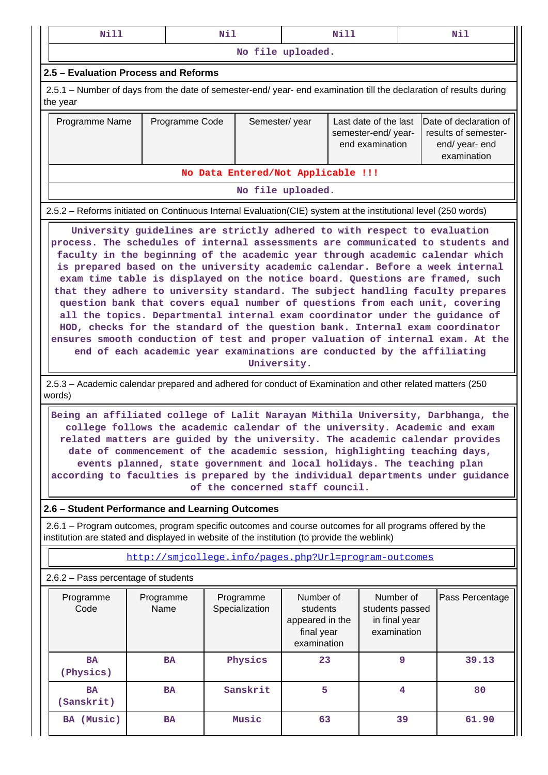| Nill                                                                                                                                                                                                                                                                                                                                                                                                                                                                                                                                                                                                                                                                                                                                                                                                                                                                                                                         |                   |                | Nil           |                             |                                                                       | Nill |                                                                |  | Nil                                                                                     |  |  |
|------------------------------------------------------------------------------------------------------------------------------------------------------------------------------------------------------------------------------------------------------------------------------------------------------------------------------------------------------------------------------------------------------------------------------------------------------------------------------------------------------------------------------------------------------------------------------------------------------------------------------------------------------------------------------------------------------------------------------------------------------------------------------------------------------------------------------------------------------------------------------------------------------------------------------|-------------------|----------------|---------------|-----------------------------|-----------------------------------------------------------------------|------|----------------------------------------------------------------|--|-----------------------------------------------------------------------------------------|--|--|
|                                                                                                                                                                                                                                                                                                                                                                                                                                                                                                                                                                                                                                                                                                                                                                                                                                                                                                                              |                   |                |               |                             | No file uploaded.                                                     |      |                                                                |  |                                                                                         |  |  |
| 2.5 - Evaluation Process and Reforms                                                                                                                                                                                                                                                                                                                                                                                                                                                                                                                                                                                                                                                                                                                                                                                                                                                                                         |                   |                |               |                             |                                                                       |      |                                                                |  |                                                                                         |  |  |
| 2.5.1 – Number of days from the date of semester-end/ year- end examination till the declaration of results during<br>the year                                                                                                                                                                                                                                                                                                                                                                                                                                                                                                                                                                                                                                                                                                                                                                                               |                   |                |               |                             |                                                                       |      |                                                                |  |                                                                                         |  |  |
| Programme Name                                                                                                                                                                                                                                                                                                                                                                                                                                                                                                                                                                                                                                                                                                                                                                                                                                                                                                               |                   | Programme Code | Semester/year |                             |                                                                       |      | Last date of the last<br>semester-end/year-<br>end examination |  | <b>IDate of declaration of</b><br>results of semester-<br>end/ year- end<br>examination |  |  |
| No Data Entered/Not Applicable !!!                                                                                                                                                                                                                                                                                                                                                                                                                                                                                                                                                                                                                                                                                                                                                                                                                                                                                           |                   |                |               |                             |                                                                       |      |                                                                |  |                                                                                         |  |  |
|                                                                                                                                                                                                                                                                                                                                                                                                                                                                                                                                                                                                                                                                                                                                                                                                                                                                                                                              |                   |                |               |                             | No file uploaded.                                                     |      |                                                                |  |                                                                                         |  |  |
| 2.5.2 – Reforms initiated on Continuous Internal Evaluation (CIE) system at the institutional level (250 words)                                                                                                                                                                                                                                                                                                                                                                                                                                                                                                                                                                                                                                                                                                                                                                                                              |                   |                |               |                             |                                                                       |      |                                                                |  |                                                                                         |  |  |
| University guidelines are strictly adhered to with respect to evaluation<br>process. The schedules of internal assessments are communicated to students and<br>faculty in the beginning of the academic year through academic calendar which<br>is prepared based on the university academic calendar. Before a week internal<br>exam time table is displayed on the notice board. Questions are framed, such<br>that they adhere to university standard. The subject handling faculty prepares<br>question bank that covers equal number of questions from each unit, covering<br>all the topics. Departmental internal exam coordinator under the guidance of<br>HOD, checks for the standard of the question bank. Internal exam coordinator<br>ensures smooth conduction of test and proper valuation of internal exam. At the<br>end of each academic year examinations are conducted by the affiliating<br>University. |                   |                |               |                             |                                                                       |      |                                                                |  |                                                                                         |  |  |
| 2.5.3 – Academic calendar prepared and adhered for conduct of Examination and other related matters (250<br>words)                                                                                                                                                                                                                                                                                                                                                                                                                                                                                                                                                                                                                                                                                                                                                                                                           |                   |                |               |                             |                                                                       |      |                                                                |  |                                                                                         |  |  |
| Being an affiliated college of Lalit Narayan Mithila University, Darbhanga, the<br>college follows the academic calendar of the university. Academic and exam<br>related matters are guided by the university. The academic calendar provides<br>date of commencement of the academic session, highlighting teaching days,<br>events planned, state government and local holidays. The teaching plan<br>according to faculties is prepared by the individual departments under guidance                                                                                                                                                                                                                                                                                                                                                                                                                                      |                   |                |               |                             | of the concerned staff council.                                       |      |                                                                |  |                                                                                         |  |  |
| 2.6 - Student Performance and Learning Outcomes                                                                                                                                                                                                                                                                                                                                                                                                                                                                                                                                                                                                                                                                                                                                                                                                                                                                              |                   |                |               |                             |                                                                       |      |                                                                |  |                                                                                         |  |  |
| 2.6.1 – Program outcomes, program specific outcomes and course outcomes for all programs offered by the<br>institution are stated and displayed in website of the institution (to provide the weblink)                                                                                                                                                                                                                                                                                                                                                                                                                                                                                                                                                                                                                                                                                                                       |                   |                |               |                             |                                                                       |      |                                                                |  |                                                                                         |  |  |
|                                                                                                                                                                                                                                                                                                                                                                                                                                                                                                                                                                                                                                                                                                                                                                                                                                                                                                                              |                   |                |               |                             |                                                                       |      | http://smicollege.info/pages.php?Url=program-outcomes          |  |                                                                                         |  |  |
| 2.6.2 - Pass percentage of students                                                                                                                                                                                                                                                                                                                                                                                                                                                                                                                                                                                                                                                                                                                                                                                                                                                                                          |                   |                |               |                             |                                                                       |      |                                                                |  |                                                                                         |  |  |
| Programme<br>Code                                                                                                                                                                                                                                                                                                                                                                                                                                                                                                                                                                                                                                                                                                                                                                                                                                                                                                            | Programme<br>Name |                |               | Programme<br>Specialization | Number of<br>students<br>appeared in the<br>final year<br>examination |      | Number of<br>students passed<br>in final year<br>examination   |  | Pass Percentage                                                                         |  |  |
| <b>BA</b><br>(Physics)                                                                                                                                                                                                                                                                                                                                                                                                                                                                                                                                                                                                                                                                                                                                                                                                                                                                                                       |                   | <b>BA</b>      |               | Physics                     | 23                                                                    |      | 9                                                              |  | 39.13                                                                                   |  |  |
| <b>BA</b><br>(Sanskrit)                                                                                                                                                                                                                                                                                                                                                                                                                                                                                                                                                                                                                                                                                                                                                                                                                                                                                                      |                   | <b>BA</b>      |               | Sanskrit                    | 5                                                                     |      | $\overline{\bf 4}$                                             |  | 80                                                                                      |  |  |
| BA (Music)                                                                                                                                                                                                                                                                                                                                                                                                                                                                                                                                                                                                                                                                                                                                                                                                                                                                                                                   |                   | <b>BA</b>      |               | Music                       | 63                                                                    |      | 39                                                             |  | 61.90                                                                                   |  |  |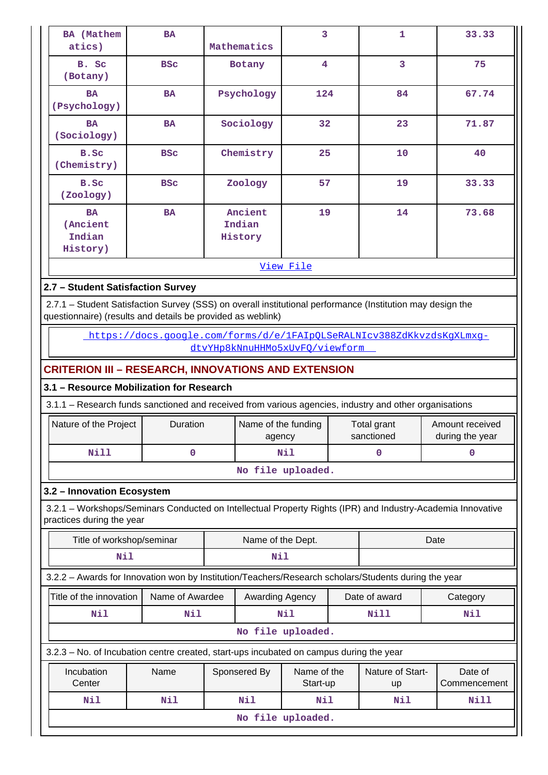| <b>BA</b> (Mathem<br>atics)                                                                                | <b>BA</b>                                                             | Mathematics                              |                               | 3 |                           | 33.33                                                                                                       |  |  |  |
|------------------------------------------------------------------------------------------------------------|-----------------------------------------------------------------------|------------------------------------------|-------------------------------|---|---------------------------|-------------------------------------------------------------------------------------------------------------|--|--|--|
| B. Sc<br>(Botany)                                                                                          | <b>BSC</b>                                                            | Botany                                   | $\overline{\mathbf{4}}$       |   | 3                         | 75                                                                                                          |  |  |  |
| <b>BA</b><br>(Psychology)                                                                                  | <b>BA</b>                                                             | Psychology                               | 124                           |   | 84                        | 67.74                                                                                                       |  |  |  |
| <b>BA</b><br>(Sociology)                                                                                   | <b>BA</b>                                                             | Sociology                                | 32                            |   | 23                        | 71.87                                                                                                       |  |  |  |
| B.Sc<br>(Chemistry)                                                                                        | <b>BSC</b>                                                            | Chemistry                                | 25                            |   | 10                        | 40                                                                                                          |  |  |  |
| B.Sc<br>(Zoology)                                                                                          | <b>BSC</b>                                                            | Zoology                                  | 57                            |   | 19                        | 33.33                                                                                                       |  |  |  |
| <b>BA</b><br>(Ancient<br>Indian<br>History)                                                                | <b>BA</b>                                                             | 19<br>14<br>Ancient<br>Indian<br>History |                               |   |                           | 73.68                                                                                                       |  |  |  |
|                                                                                                            |                                                                       |                                          | View File                     |   |                           |                                                                                                             |  |  |  |
| 2.7 - Student Satisfaction Survey                                                                          |                                                                       |                                          |                               |   |                           |                                                                                                             |  |  |  |
| 2.7.1 - Student Satisfaction Survey (SSS) on overall institutional performance (Institution may design the |                                                                       |                                          |                               |   |                           |                                                                                                             |  |  |  |
| questionnaire) (results and details be provided as weblink)                                                |                                                                       |                                          |                               |   |                           |                                                                                                             |  |  |  |
|                                                                                                            | https://docs.google.com/forms/d/e/1FAIpOLSeRALNIcv388ZdKkvzdsKgXLmxg- | dtvYHp8kNnuHHMo5xUvFO/viewform           |                               |   |                           |                                                                                                             |  |  |  |
|                                                                                                            |                                                                       |                                          |                               |   |                           |                                                                                                             |  |  |  |
| <b>CRITERION III - RESEARCH, INNOVATIONS AND EXTENSION</b><br>3.1 - Resource Mobilization for Research     |                                                                       |                                          |                               |   |                           |                                                                                                             |  |  |  |
|                                                                                                            |                                                                       |                                          |                               |   |                           |                                                                                                             |  |  |  |
| 3.1.1 - Research funds sanctioned and received from various agencies, industry and other organisations     |                                                                       |                                          |                               |   |                           |                                                                                                             |  |  |  |
| Nature of the Project                                                                                      | Duration                                                              |                                          | Name of the funding<br>agency |   | Total grant<br>sanctioned | Amount received<br>during the year                                                                          |  |  |  |
| <b>Nill</b>                                                                                                | $\mathbf 0$                                                           |                                          | Nil                           |   | 0                         | 0                                                                                                           |  |  |  |
|                                                                                                            |                                                                       |                                          | No file uploaded.             |   |                           |                                                                                                             |  |  |  |
| 3.2 - Innovation Ecosystem                                                                                 |                                                                       |                                          |                               |   |                           |                                                                                                             |  |  |  |
| practices during the year                                                                                  |                                                                       |                                          |                               |   |                           | 3.2.1 - Workshops/Seminars Conducted on Intellectual Property Rights (IPR) and Industry-Academia Innovative |  |  |  |
|                                                                                                            | Title of workshop/seminar                                             |                                          | Name of the Dept.             |   |                           | Date                                                                                                        |  |  |  |
| Nil                                                                                                        |                                                                       | Nil                                      |                               |   |                           |                                                                                                             |  |  |  |
| 3.2.2 - Awards for Innovation won by Institution/Teachers/Research scholars/Students during the year       |                                                                       |                                          |                               |   |                           |                                                                                                             |  |  |  |
| Title of the innovation                                                                                    | Name of Awardee                                                       |                                          | Awarding Agency               |   | Date of award             | Category                                                                                                    |  |  |  |
| Nil                                                                                                        | Nil                                                                   |                                          | Nil                           |   | <b>Nill</b>               | Nil                                                                                                         |  |  |  |
|                                                                                                            |                                                                       |                                          | No file uploaded.             |   |                           |                                                                                                             |  |  |  |
| 3.2.3 – No. of Incubation centre created, start-ups incubated on campus during the year                    |                                                                       |                                          |                               |   |                           |                                                                                                             |  |  |  |
| Incubation<br>Center                                                                                       | Name                                                                  | Sponsered By                             | Name of the<br>Start-up       |   | Nature of Start-<br>up    | Date of<br>Commencement                                                                                     |  |  |  |
| Nil                                                                                                        | Nil                                                                   | Nil                                      | Nil                           |   | Nil                       | Nill                                                                                                        |  |  |  |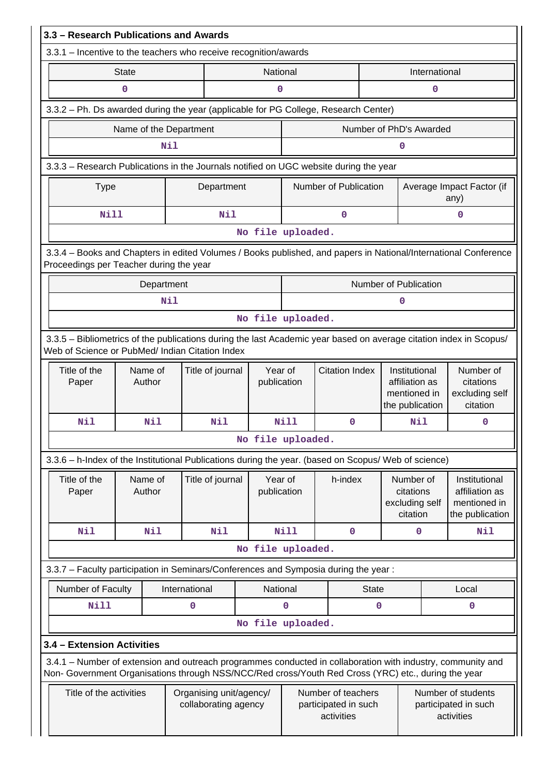| 3.3 - Research Publications and Awards                                                                                                                                                                             |                        |            |                                                 |                   |                        |                                                          |                         |                                                                    |                                                          |                                                                    |
|--------------------------------------------------------------------------------------------------------------------------------------------------------------------------------------------------------------------|------------------------|------------|-------------------------------------------------|-------------------|------------------------|----------------------------------------------------------|-------------------------|--------------------------------------------------------------------|----------------------------------------------------------|--------------------------------------------------------------------|
| 3.3.1 – Incentive to the teachers who receive recognition/awards                                                                                                                                                   |                        |            |                                                 |                   |                        |                                                          |                         |                                                                    |                                                          |                                                                    |
|                                                                                                                                                                                                                    | <b>State</b>           |            |                                                 |                   | National               |                                                          |                         |                                                                    | International                                            |                                                                    |
|                                                                                                                                                                                                                    | $\mathbf 0$            |            |                                                 |                   | $\pmb{0}$              |                                                          |                         |                                                                    | $\mathbf 0$                                              |                                                                    |
| 3.3.2 - Ph. Ds awarded during the year (applicable for PG College, Research Center)                                                                                                                                |                        |            |                                                 |                   |                        |                                                          |                         |                                                                    |                                                          |                                                                    |
|                                                                                                                                                                                                                    | Name of the Department | Nil        |                                                 |                   |                        |                                                          | Number of PhD's Awarded | $\mathbf 0$                                                        |                                                          |                                                                    |
|                                                                                                                                                                                                                    |                        |            |                                                 |                   |                        |                                                          |                         |                                                                    |                                                          |                                                                    |
| 3.3.3 - Research Publications in the Journals notified on UGC website during the year<br><b>Type</b>                                                                                                               |                        |            | Department                                      |                   |                        |                                                          | Number of Publication   |                                                                    |                                                          | Average Impact Factor (if                                          |
| <b>Nill</b>                                                                                                                                                                                                        |                        |            | Nil                                             |                   |                        |                                                          | $\mathbf 0$             |                                                                    |                                                          | any)<br>$\mathbf 0$                                                |
|                                                                                                                                                                                                                    |                        |            |                                                 | No file uploaded. |                        |                                                          |                         |                                                                    |                                                          |                                                                    |
| 3.3.4 - Books and Chapters in edited Volumes / Books published, and papers in National/International Conference                                                                                                    |                        |            |                                                 |                   |                        |                                                          |                         |                                                                    |                                                          |                                                                    |
| Proceedings per Teacher during the year                                                                                                                                                                            |                        |            |                                                 |                   |                        |                                                          |                         |                                                                    |                                                          |                                                                    |
|                                                                                                                                                                                                                    |                        | Department |                                                 |                   |                        |                                                          |                         | Number of Publication                                              |                                                          |                                                                    |
|                                                                                                                                                                                                                    |                        | Nil        |                                                 |                   |                        |                                                          |                         | 0                                                                  |                                                          |                                                                    |
|                                                                                                                                                                                                                    |                        |            |                                                 | No file uploaded. |                        |                                                          |                         |                                                                    |                                                          |                                                                    |
| 3.3.5 - Bibliometrics of the publications during the last Academic year based on average citation index in Scopus/<br>Web of Science or PubMed/ Indian Citation Index                                              |                        |            |                                                 |                   |                        |                                                          |                         |                                                                    |                                                          |                                                                    |
| Title of the<br>Paper                                                                                                                                                                                              | Name of<br>Author      |            | Title of journal                                |                   | Year of<br>publication |                                                          | <b>Citation Index</b>   | Institutional<br>affiliation as<br>mentioned in<br>the publication |                                                          | Number of<br>citations<br>excluding self<br>citation               |
| Nil                                                                                                                                                                                                                |                        | Nil        | Nil                                             |                   | Nill                   |                                                          | 0                       |                                                                    | Nil                                                      | 0                                                                  |
|                                                                                                                                                                                                                    |                        |            |                                                 | No file uploaded. |                        |                                                          |                         |                                                                    |                                                          |                                                                    |
| 3.3.6 - h-Index of the Institutional Publications during the year. (based on Scopus/ Web of science)                                                                                                               |                        |            |                                                 |                   |                        |                                                          |                         |                                                                    |                                                          |                                                                    |
| Title of the<br>Paper                                                                                                                                                                                              | Name of<br>Author      |            | Title of journal                                |                   | Year of<br>publication |                                                          | h-index                 | Number of<br>citations<br>excluding self<br>citation               |                                                          | Institutional<br>affiliation as<br>mentioned in<br>the publication |
| Nil                                                                                                                                                                                                                |                        | Nil        | Nil                                             |                   | Nill                   |                                                          | $\mathbf{O}$            |                                                                    | $\mathbf{0}$                                             | Nil                                                                |
|                                                                                                                                                                                                                    |                        |            |                                                 | No file uploaded. |                        |                                                          |                         |                                                                    |                                                          |                                                                    |
| 3.3.7 - Faculty participation in Seminars/Conferences and Symposia during the year:                                                                                                                                |                        |            |                                                 |                   |                        |                                                          |                         |                                                                    |                                                          |                                                                    |
| Number of Faculty                                                                                                                                                                                                  |                        |            | International                                   |                   | National               |                                                          | <b>State</b>            |                                                                    |                                                          | Local                                                              |
| <b>Nill</b>                                                                                                                                                                                                        |                        |            | $\mathbf 0$                                     |                   | 0                      |                                                          | $\mathbf 0$             |                                                                    |                                                          | 0                                                                  |
|                                                                                                                                                                                                                    |                        |            |                                                 | No file uploaded. |                        |                                                          |                         |                                                                    |                                                          |                                                                    |
| 3.4 - Extension Activities                                                                                                                                                                                         |                        |            |                                                 |                   |                        |                                                          |                         |                                                                    |                                                          |                                                                    |
| 3.4.1 – Number of extension and outreach programmes conducted in collaboration with industry, community and<br>Non- Government Organisations through NSS/NCC/Red cross/Youth Red Cross (YRC) etc., during the year |                        |            |                                                 |                   |                        |                                                          |                         |                                                                    |                                                          |                                                                    |
| Title of the activities                                                                                                                                                                                            |                        |            | Organising unit/agency/<br>collaborating agency |                   |                        | Number of teachers<br>participated in such<br>activities |                         |                                                                    | Number of students<br>participated in such<br>activities |                                                                    |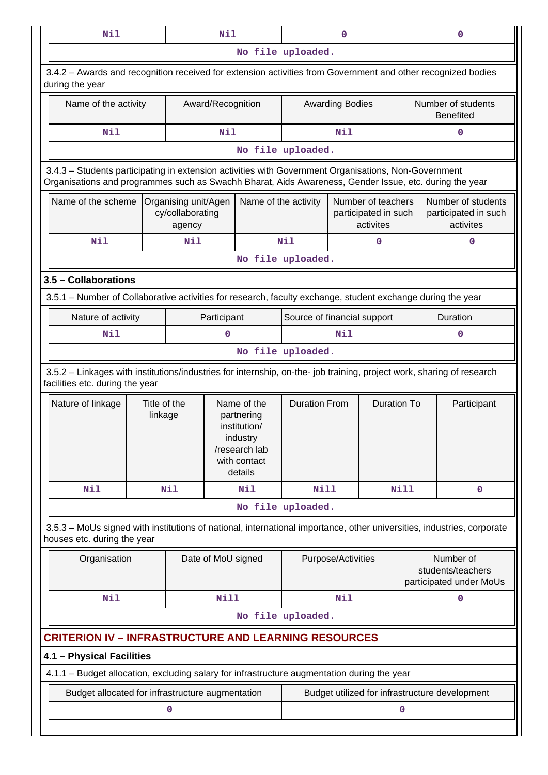| Nil<br>Nil                                                                                                                                                                                                     |                         |                                                                                                   |                    |                                            |                             | $\mathbf{0}$           |                                                         | $\mathbf 0$                            |                                                           |  |  |
|----------------------------------------------------------------------------------------------------------------------------------------------------------------------------------------------------------------|-------------------------|---------------------------------------------------------------------------------------------------|--------------------|--------------------------------------------|-----------------------------|------------------------|---------------------------------------------------------|----------------------------------------|-----------------------------------------------------------|--|--|
|                                                                                                                                                                                                                |                         |                                                                                                   |                    |                                            | No file uploaded.           |                        |                                                         |                                        |                                                           |  |  |
| 3.4.2 - Awards and recognition received for extension activities from Government and other recognized bodies<br>during the year                                                                                |                         |                                                                                                   |                    |                                            |                             |                        |                                                         |                                        |                                                           |  |  |
| Name of the activity                                                                                                                                                                                           |                         |                                                                                                   | Award/Recognition  |                                            |                             | <b>Awarding Bodies</b> |                                                         | Number of students<br><b>Benefited</b> |                                                           |  |  |
| Nil                                                                                                                                                                                                            |                         |                                                                                                   | Nil                |                                            |                             | Nil                    |                                                         |                                        | 0                                                         |  |  |
|                                                                                                                                                                                                                |                         |                                                                                                   |                    |                                            | No file uploaded.           |                        |                                                         |                                        |                                                           |  |  |
| 3.4.3 - Students participating in extension activities with Government Organisations, Non-Government<br>Organisations and programmes such as Swachh Bharat, Aids Awareness, Gender Issue, etc. during the year |                         |                                                                                                   |                    |                                            |                             |                        |                                                         |                                        |                                                           |  |  |
| Name of the scheme                                                                                                                                                                                             |                         | Organising unit/Agen<br>cy/collaborating<br>agency                                                |                    | Name of the activity                       |                             |                        | Number of teachers<br>participated in such<br>activites |                                        | Number of students<br>participated in such<br>activites   |  |  |
| Nil                                                                                                                                                                                                            |                         | Nil                                                                                               |                    |                                            | Nil                         |                        | $\mathbf 0$                                             |                                        | $\mathbf 0$                                               |  |  |
|                                                                                                                                                                                                                |                         |                                                                                                   |                    |                                            | No file uploaded.           |                        |                                                         |                                        |                                                           |  |  |
| 3.5 - Collaborations                                                                                                                                                                                           |                         |                                                                                                   |                    |                                            |                             |                        |                                                         |                                        |                                                           |  |  |
| 3.5.1 – Number of Collaborative activities for research, faculty exchange, student exchange during the year                                                                                                    |                         |                                                                                                   |                    |                                            |                             |                        |                                                         |                                        |                                                           |  |  |
| Nature of activity<br>Participant                                                                                                                                                                              |                         |                                                                                                   |                    |                                            | Source of financial support |                        |                                                         |                                        | Duration                                                  |  |  |
| Nil                                                                                                                                                                                                            |                         |                                                                                                   | $\Omega$           |                                            |                             | Nil                    |                                                         |                                        | $\mathbf 0$                                               |  |  |
|                                                                                                                                                                                                                |                         |                                                                                                   |                    |                                            | No file uploaded.           |                        |                                                         |                                        |                                                           |  |  |
| 3.5.2 - Linkages with institutions/industries for internship, on-the- job training, project work, sharing of research<br>facilities etc. during the year                                                       |                         |                                                                                                   |                    |                                            |                             |                        |                                                         |                                        |                                                           |  |  |
| Nature of linkage                                                                                                                                                                                              | Title of the<br>linkage | Name of the<br>partnering<br>institution/<br>industry<br>/research lab<br>with contact<br>details |                    | <b>Duration To</b><br><b>Duration From</b> |                             |                        | Participant                                             |                                        |                                                           |  |  |
| Nil                                                                                                                                                                                                            |                         | Nil                                                                                               |                    | Nil                                        | Nill                        |                        |                                                         | Nill                                   | $\mathbf 0$                                               |  |  |
|                                                                                                                                                                                                                |                         |                                                                                                   |                    |                                            | No file uploaded.           |                        |                                                         |                                        |                                                           |  |  |
| 3.5.3 - MoUs signed with institutions of national, international importance, other universities, industries, corporate<br>houses etc. during the year                                                          |                         |                                                                                                   |                    |                                            |                             |                        |                                                         |                                        |                                                           |  |  |
| Organisation                                                                                                                                                                                                   |                         |                                                                                                   | Date of MoU signed |                                            |                             | Purpose/Activities     |                                                         |                                        | Number of<br>students/teachers<br>participated under MoUs |  |  |
| Nil                                                                                                                                                                                                            |                         |                                                                                                   | Nill               |                                            |                             | Nil                    |                                                         |                                        | 0                                                         |  |  |
|                                                                                                                                                                                                                |                         |                                                                                                   |                    |                                            | No file uploaded.           |                        |                                                         |                                        |                                                           |  |  |
| <b>CRITERION IV - INFRASTRUCTURE AND LEARNING RESOURCES</b>                                                                                                                                                    |                         |                                                                                                   |                    |                                            |                             |                        |                                                         |                                        |                                                           |  |  |
| 4.1 - Physical Facilities                                                                                                                                                                                      |                         |                                                                                                   |                    |                                            |                             |                        |                                                         |                                        |                                                           |  |  |
| 4.1.1 - Budget allocation, excluding salary for infrastructure augmentation during the year                                                                                                                    |                         |                                                                                                   |                    |                                            |                             |                        |                                                         |                                        |                                                           |  |  |
| Budget allocated for infrastructure augmentation                                                                                                                                                               |                         |                                                                                                   |                    |                                            |                             |                        |                                                         |                                        | Budget utilized for infrastructure development            |  |  |
|                                                                                                                                                                                                                |                         | 0                                                                                                 |                    |                                            |                             |                        |                                                         | 0                                      |                                                           |  |  |
|                                                                                                                                                                                                                |                         |                                                                                                   |                    |                                            |                             |                        |                                                         |                                        |                                                           |  |  |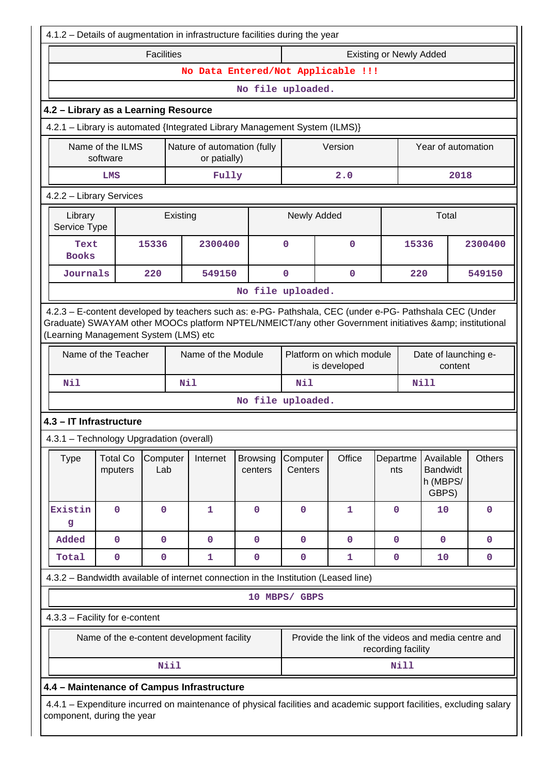| 4.1.2 - Details of augmentation in infrastructure facilities during the year |                                                                                                                                                                                                                                                         |                   |      |                    |                            |                     |                                                                                                                      |                    |             |                                                   |         |                      |
|------------------------------------------------------------------------------|---------------------------------------------------------------------------------------------------------------------------------------------------------------------------------------------------------------------------------------------------------|-------------------|------|--------------------|----------------------------|---------------------|----------------------------------------------------------------------------------------------------------------------|--------------------|-------------|---------------------------------------------------|---------|----------------------|
|                                                                              |                                                                                                                                                                                                                                                         | <b>Facilities</b> |      |                    |                            |                     | <b>Existing or Newly Added</b>                                                                                       |                    |             |                                                   |         |                      |
|                                                                              |                                                                                                                                                                                                                                                         |                   |      |                    |                            |                     | No Data Entered/Not Applicable !!!                                                                                   |                    |             |                                                   |         |                      |
|                                                                              | No file uploaded.                                                                                                                                                                                                                                       |                   |      |                    |                            |                     |                                                                                                                      |                    |             |                                                   |         |                      |
| 4.2 - Library as a Learning Resource                                         |                                                                                                                                                                                                                                                         |                   |      |                    |                            |                     |                                                                                                                      |                    |             |                                                   |         |                      |
| 4.2.1 - Library is automated {Integrated Library Management System (ILMS)}   |                                                                                                                                                                                                                                                         |                   |      |                    |                            |                     |                                                                                                                      |                    |             |                                                   |         |                      |
| Nature of automation (fully<br>Name of the ILMS<br>software<br>or patially)  |                                                                                                                                                                                                                                                         |                   |      |                    |                            |                     | Version                                                                                                              |                    |             | Year of automation                                |         |                      |
|                                                                              | LMS                                                                                                                                                                                                                                                     |                   |      | Fully              |                            |                     | 2.0                                                                                                                  |                    |             |                                                   | 2018    |                      |
|                                                                              | 4.2.2 - Library Services                                                                                                                                                                                                                                |                   |      |                    |                            |                     |                                                                                                                      |                    |             |                                                   |         |                      |
|                                                                              | Library<br>Existing<br>Service Type                                                                                                                                                                                                                     |                   |      |                    |                            | Newly Added         |                                                                                                                      |                    |             | Total                                             |         |                      |
| Text<br><b>Books</b>                                                         |                                                                                                                                                                                                                                                         | 15336             |      | 2300400            |                            | $\mathbf 0$         | $\mathbf 0$                                                                                                          |                    | 15336       |                                                   |         | 2300400              |
| Journals                                                                     |                                                                                                                                                                                                                                                         | 220               |      | 549150             |                            | $\mathbf 0$         | $\mathbf 0$                                                                                                          |                    | 220         |                                                   |         | 549150               |
|                                                                              |                                                                                                                                                                                                                                                         |                   |      |                    | No file uploaded.          |                     |                                                                                                                      |                    |             |                                                   |         |                      |
|                                                                              | 4.2.3 - E-content developed by teachers such as: e-PG- Pathshala, CEC (under e-PG- Pathshala CEC (Under<br>Graduate) SWAYAM other MOOCs platform NPTEL/NMEICT/any other Government initiatives & institutional<br>(Learning Management System (LMS) etc |                   |      |                    |                            |                     |                                                                                                                      |                    |             |                                                   |         |                      |
|                                                                              | Name of the Teacher                                                                                                                                                                                                                                     |                   |      | Name of the Module |                            |                     | Platform on which module<br>is developed                                                                             |                    |             |                                                   | content | Date of launching e- |
| Nil                                                                          |                                                                                                                                                                                                                                                         |                   |      | Nil                |                            | <b>Nil</b>          |                                                                                                                      |                    |             | <b>Nill</b>                                       |         |                      |
|                                                                              |                                                                                                                                                                                                                                                         |                   |      |                    | No file uploaded.          |                     |                                                                                                                      |                    |             |                                                   |         |                      |
| 4.3 - IT Infrastructure                                                      |                                                                                                                                                                                                                                                         |                   |      |                    |                            |                     |                                                                                                                      |                    |             |                                                   |         |                      |
| 4.3.1 - Technology Upgradation (overall)                                     |                                                                                                                                                                                                                                                         |                   |      |                    |                            |                     |                                                                                                                      |                    |             |                                                   |         |                      |
| <b>Type</b>                                                                  | <b>Total Co</b><br>mputers                                                                                                                                                                                                                              | Computer<br>Lab   |      | Internet           | <b>Browsing</b><br>centers | Computer<br>Centers | Office                                                                                                               | Departme<br>nts    |             | Available<br><b>Bandwidt</b><br>h (MBPS/<br>GBPS) |         | <b>Others</b>        |
| Existin<br>g                                                                 | $\mathbf 0$                                                                                                                                                                                                                                             | $\mathbf 0$       |      | $\mathbf{1}$       | $\mathbf 0$                | $\mathbf 0$         | 1                                                                                                                    | $\mathbf 0$        |             | 10                                                |         | $\mathbf 0$          |
| Added                                                                        | 0                                                                                                                                                                                                                                                       | $\mathbf 0$       |      | $\mathbf 0$        | $\mathbf 0$                | $\mathbf 0$         | $\mathbf 0$                                                                                                          | $\mathbf 0$        |             | $\mathbf 0$                                       |         | $\mathbf 0$          |
| Total                                                                        | 0                                                                                                                                                                                                                                                       | 0                 |      | 1                  | 0                          | 0                   | 1                                                                                                                    | $\mathbf 0$        |             | 10                                                |         | $\mathbf 0$          |
|                                                                              |                                                                                                                                                                                                                                                         |                   |      |                    |                            |                     | 4.3.2 - Bandwidth available of internet connection in the Institution (Leased line)                                  |                    |             |                                                   |         |                      |
|                                                                              |                                                                                                                                                                                                                                                         |                   |      |                    |                            | 10 MBPS/ GBPS       |                                                                                                                      |                    |             |                                                   |         |                      |
| 4.3.3 - Facility for e-content                                               |                                                                                                                                                                                                                                                         |                   |      |                    |                            |                     |                                                                                                                      |                    |             |                                                   |         |                      |
|                                                                              | Name of the e-content development facility                                                                                                                                                                                                              |                   |      |                    |                            |                     | Provide the link of the videos and media centre and                                                                  | recording facility |             |                                                   |         |                      |
|                                                                              |                                                                                                                                                                                                                                                         |                   | Niil |                    |                            |                     |                                                                                                                      |                    | <b>Nill</b> |                                                   |         |                      |
| 4.4 - Maintenance of Campus Infrastructure                                   |                                                                                                                                                                                                                                                         |                   |      |                    |                            |                     |                                                                                                                      |                    |             |                                                   |         |                      |
| component, during the year                                                   |                                                                                                                                                                                                                                                         |                   |      |                    |                            |                     | 4.4.1 - Expenditure incurred on maintenance of physical facilities and academic support facilities, excluding salary |                    |             |                                                   |         |                      |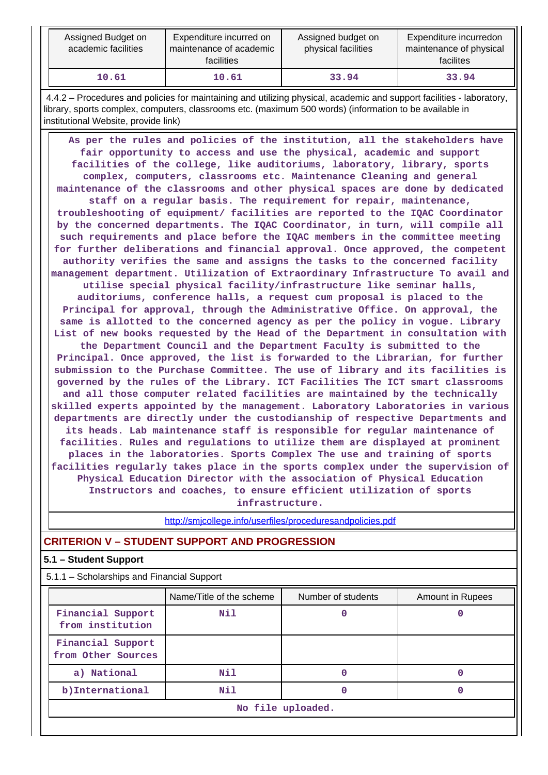| Assigned Budget on<br>academic facilities | Expenditure incurred on<br>maintenance of academic<br><b>facilities</b> | Assigned budget on<br>physical facilities | Expenditure incurredon<br>maintenance of physical<br>facilites |
|-------------------------------------------|-------------------------------------------------------------------------|-------------------------------------------|----------------------------------------------------------------|
| 10.61                                     | 10.61                                                                   | 33.94                                     | 33.94                                                          |

 4.4.2 – Procedures and policies for maintaining and utilizing physical, academic and support facilities - laboratory, library, sports complex, computers, classrooms etc. (maximum 500 words) (information to be available in institutional Website, provide link)

 **As per the rules and policies of the institution, all the stakeholders have fair opportunity to access and use the physical, academic and support facilities of the college, like auditoriums, laboratory, library, sports complex, computers, classrooms etc. Maintenance Cleaning and general maintenance of the classrooms and other physical spaces are done by dedicated staff on a regular basis. The requirement for repair, maintenance, troubleshooting of equipment/ facilities are reported to the IQAC Coordinator by the concerned departments. The IQAC Coordinator, in turn, will compile all such requirements and place before the IQAC members in the committee meeting for further deliberations and financial approval. Once approved, the competent authority verifies the same and assigns the tasks to the concerned facility management department. Utilization of Extraordinary Infrastructure To avail and utilise special physical facility/infrastructure like seminar halls, auditoriums, conference halls, a request cum proposal is placed to the Principal for approval, through the Administrative Office. On approval, the same is allotted to the concerned agency as per the policy in vogue. Library List of new books requested by the Head of the Department in consultation with the Department Council and the Department Faculty is submitted to the Principal. Once approved, the list is forwarded to the Librarian, for further submission to the Purchase Committee. The use of library and its facilities is governed by the rules of the Library. ICT Facilities The ICT smart classrooms and all those computer related facilities are maintained by the technically skilled experts appointed by the management. Laboratory Laboratories in various departments are directly under the custodianship of respective Departments and its heads. Lab maintenance staff is responsible for regular maintenance of facilities. Rules and regulations to utilize them are displayed at prominent places in the laboratories. Sports Complex The use and training of sports facilities regularly takes place in the sports complex under the supervision of Physical Education Director with the association of Physical Education Instructors and coaches, to ensure efficient utilization of sports infrastructure.**

<http://smjcollege.info/userfiles/proceduresandpolicies.pdf>

# **CRITERION V – STUDENT SUPPORT AND PROGRESSION**

#### **5.1 – Student Support**

| 5.1.1 - Scholarships and Financial Support |                          |                    |                  |
|--------------------------------------------|--------------------------|--------------------|------------------|
|                                            | Name/Title of the scheme | Number of students | Amount in Rupees |
| Financial Support<br>from institution      | Nil                      |                    |                  |
| Financial Support<br>from Other Sources    |                          |                    |                  |
| a) National                                | Nil                      |                    |                  |
| b) International                           | Nil                      |                    |                  |
|                                            |                          | No file uploaded.  |                  |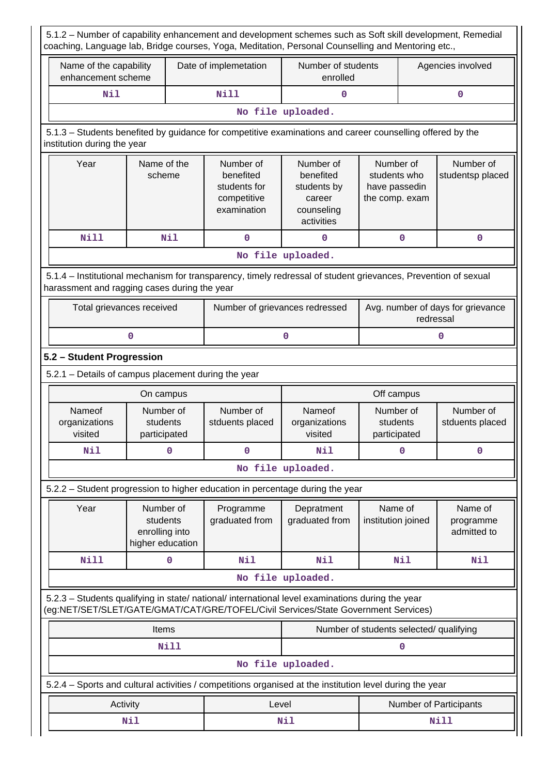|                                                     |                                                             |   |                                                                      |                                                                                                                                                                                        |                                                              |                                                | coaching, Language lab, Bridge courses, Yoga, Meditation, Personal Counselling and Mentoring etc., |  |
|-----------------------------------------------------|-------------------------------------------------------------|---|----------------------------------------------------------------------|----------------------------------------------------------------------------------------------------------------------------------------------------------------------------------------|--------------------------------------------------------------|------------------------------------------------|----------------------------------------------------------------------------------------------------|--|
| Name of the capability<br>enhancement scheme        |                                                             |   | Date of implemetation                                                | Number of students<br>enrolled                                                                                                                                                         |                                                              |                                                | Agencies involved                                                                                  |  |
| <b>Nil</b>                                          |                                                             |   | <b>Nill</b>                                                          | 0                                                                                                                                                                                      |                                                              | 0                                              |                                                                                                    |  |
|                                                     |                                                             |   |                                                                      | No file uploaded.                                                                                                                                                                      |                                                              |                                                |                                                                                                    |  |
| institution during the year                         |                                                             |   |                                                                      | 5.1.3 - Students benefited by guidance for competitive examinations and career counselling offered by the                                                                              |                                                              |                                                |                                                                                                    |  |
| Year                                                | Name of the<br>scheme                                       |   | Number of<br>benefited<br>students for<br>competitive<br>examination | Number of<br>benefited<br>students by<br>career<br>counseling<br>activities                                                                                                            | Number of<br>students who<br>have passedin<br>the comp. exam |                                                | Number of<br>studentsp placed                                                                      |  |
| Nill                                                | Nil                                                         |   | $\mathbf 0$                                                          | 0                                                                                                                                                                                      | 0                                                            |                                                | $\mathbf 0$                                                                                        |  |
|                                                     |                                                             |   |                                                                      | No file uploaded.                                                                                                                                                                      |                                                              |                                                |                                                                                                    |  |
| harassment and ragging cases during the year        |                                                             |   |                                                                      | 5.1.4 - Institutional mechanism for transparency, timely redressal of student grievances, Prevention of sexual                                                                         |                                                              |                                                |                                                                                                    |  |
| Total grievances received                           |                                                             |   |                                                                      | Number of grievances redressed                                                                                                                                                         |                                                              | Avg. number of days for grievance<br>redressal |                                                                                                    |  |
|                                                     | 0                                                           |   |                                                                      | 0                                                                                                                                                                                      |                                                              |                                                | 0                                                                                                  |  |
| 5.2 - Student Progression                           |                                                             |   |                                                                      |                                                                                                                                                                                        |                                                              |                                                |                                                                                                    |  |
| 5.2.1 - Details of campus placement during the year |                                                             |   |                                                                      |                                                                                                                                                                                        |                                                              |                                                |                                                                                                    |  |
|                                                     | On campus                                                   |   |                                                                      |                                                                                                                                                                                        | Off campus                                                   |                                                |                                                                                                    |  |
| Nameof<br>organizations<br>visited                  | Number of<br>students<br>participated                       |   | Number of<br>stduents placed                                         | Nameof<br>organizations<br>visited                                                                                                                                                     | Number of<br>students<br>participated                        |                                                | Number of<br>stduents placed                                                                       |  |
| Nil                                                 |                                                             | 0 | 0                                                                    | Nil                                                                                                                                                                                    | $\mathbf 0$                                                  |                                                | $\mathbf 0$                                                                                        |  |
|                                                     |                                                             |   |                                                                      |                                                                                                                                                                                        |                                                              |                                                |                                                                                                    |  |
|                                                     |                                                             |   |                                                                      | No file uploaded.                                                                                                                                                                      |                                                              |                                                |                                                                                                    |  |
|                                                     |                                                             |   |                                                                      | 5.2.2 - Student progression to higher education in percentage during the year                                                                                                          |                                                              |                                                |                                                                                                    |  |
| Year                                                | Number of<br>students<br>enrolling into<br>higher education |   | Programme<br>graduated from                                          | Depratment<br>graduated from                                                                                                                                                           | Name of<br>institution joined                                |                                                | Name of<br>programme<br>admitted to                                                                |  |
| Nill                                                |                                                             | 0 | Nil                                                                  | Nil                                                                                                                                                                                    | Nil                                                          |                                                | Nil                                                                                                |  |
|                                                     |                                                             |   |                                                                      | No file uploaded.                                                                                                                                                                      |                                                              |                                                |                                                                                                    |  |
|                                                     |                                                             |   |                                                                      | 5.2.3 - Students qualifying in state/ national/ international level examinations during the year<br>(eg:NET/SET/SLET/GATE/GMAT/CAT/GRE/TOFEL/Civil Services/State Government Services) |                                                              |                                                |                                                                                                    |  |
|                                                     | Items                                                       |   |                                                                      |                                                                                                                                                                                        | Number of students selected/ qualifying                      |                                                |                                                                                                    |  |
|                                                     | Nill                                                        |   |                                                                      |                                                                                                                                                                                        | 0                                                            |                                                |                                                                                                    |  |
|                                                     |                                                             |   |                                                                      | No file uploaded.                                                                                                                                                                      |                                                              |                                                |                                                                                                    |  |
|                                                     |                                                             |   |                                                                      | 5.2.4 - Sports and cultural activities / competitions organised at the institution level during the year                                                                               |                                                              |                                                |                                                                                                    |  |
|                                                     | Activity                                                    |   | Level                                                                |                                                                                                                                                                                        |                                                              |                                                | Number of Participants                                                                             |  |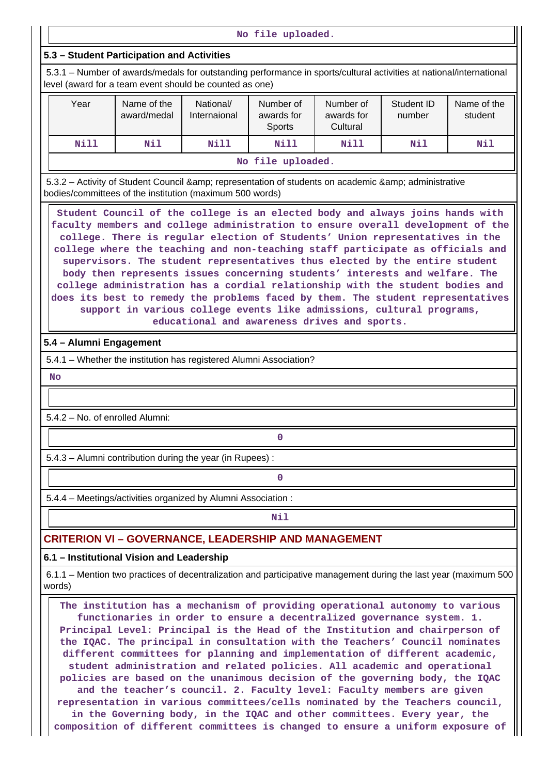**No file uploaded.**

#### **5.3 – Student Participation and Activities**

 5.3.1 – Number of awards/medals for outstanding performance in sports/cultural activities at national/international level (award for a team event should be counted as one)

| Year | Name of the<br>award/medal | National/<br>Internaional | Number of<br>awards for<br>Sports | Number of<br>awards for<br>Cultural | Student ID<br>number | Name of the<br>student |
|------|----------------------------|---------------------------|-----------------------------------|-------------------------------------|----------------------|------------------------|
| Nill | Nil                        | Nill                      | Nill                              | Nill                                | Nil                  | Nil                    |
|      |                            |                           | No file uploaded.                 |                                     |                      |                        |

5.3.2 – Activity of Student Council & amp; representation of students on academic & amp; administrative bodies/committees of the institution (maximum 500 words)

 **Student Council of the college is an elected body and always joins hands with faculty members and college administration to ensure overall development of the college. There is regular election of Students' Union representatives in the college where the teaching and non-teaching staff participate as officials and supervisors. The student representatives thus elected by the entire student body then represents issues concerning students' interests and welfare. The college administration has a cordial relationship with the student bodies and does its best to remedy the problems faced by them. The student representatives support in various college events like admissions, cultural programs, educational and awareness drives and sports.**

### **5.4 – Alumni Engagement**

5.4.1 – Whether the institution has registered Alumni Association?

 **No**

5.4.2 – No. of enrolled Alumni:

5.4.3 – Alumni contribution during the year (in Rupees) :

**0**

**0**

5.4.4 – Meetings/activities organized by Alumni Association :

**Nil** 

# **CRITERION VI – GOVERNANCE, LEADERSHIP AND MANAGEMENT**

#### **6.1 – Institutional Vision and Leadership**

 6.1.1 – Mention two practices of decentralization and participative management during the last year (maximum 500 words)

 **The institution has a mechanism of providing operational autonomy to various functionaries in order to ensure a decentralized governance system. 1. Principal Level: Principal is the Head of the Institution and chairperson of the IQAC. The principal in consultation with the Teachers' Council nominates different committees for planning and implementation of different academic, student administration and related policies. All academic and operational policies are based on the unanimous decision of the governing body, the IQAC and the teacher's council. 2. Faculty level: Faculty members are given representation in various committees/cells nominated by the Teachers council, in the Governing body, in the IQAC and other committees. Every year, the composition of different committees is changed to ensure a uniform exposure of**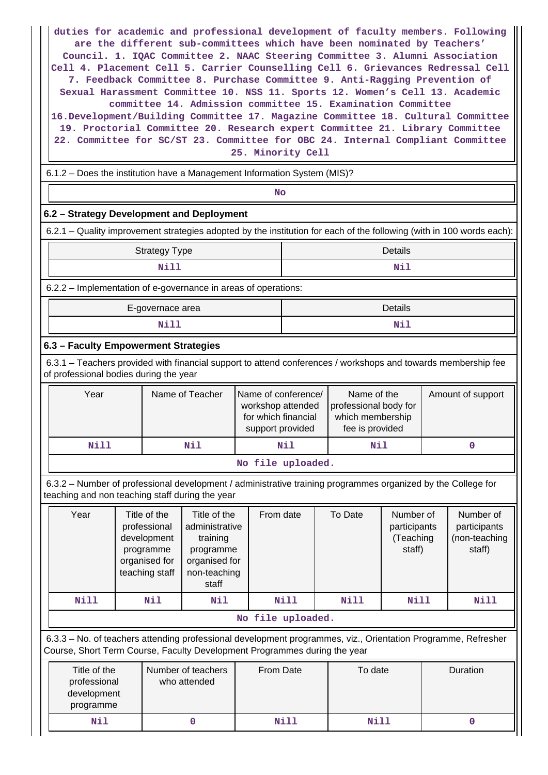**duties for academic and professional development of faculty members. Following are the different sub-committees which have been nominated by Teachers' Council. 1. IQAC Committee 2. NAAC Steering Committee 3. Alumni Association Cell 4. Placement Cell 5. Carrier Counselling Cell 6. Grievances Redressal Cell 7. Feedback Committee 8. Purchase Committee 9. Anti-Ragging Prevention of Sexual Harassment Committee 10. NSS 11. Sports 12. Women's Cell 13. Academic committee 14. Admission committee 15. Examination Committee 16.Development/Building Committee 17. Magazine Committee 18. Cultural Committee 19. Proctorial Committee 20. Research expert Committee 21. Library Committee 22. Committee for SC/ST 23. Committee for OBC 24. Internal Compliant Committee 25. Minority Cell**

6.1.2 – Does the institution have a Management Information System (MIS)?

**No. 2. In the case of the case of the case of the case of the case of the case of the case of the case of the case of the case of the case of the case of the case of the case of the case of the case of the case of the cas** 

# **6.2 – Strategy Development and Deployment**

6.2.1 – Quality improvement strategies adopted by the institution for each of the following (with in 100 words each):

| <b>Strategy Type</b>                                           | Details |
|----------------------------------------------------------------|---------|
| Nill                                                           | Nil     |
| 6.2.2 – Implementation of e-governance in areas of operations: |         |
|                                                                | __      |

| E-governace area | Details |
|------------------|---------|
| <b>Nil</b>       | Nil     |

# **6.3 – Faculty Empowerment Strategies**

 6.3.1 – Teachers provided with financial support to attend conferences / workshops and towards membership fee of professional bodies during the year

| Year | Name of Teacher | Name of conference/<br>workshop attended<br>for which financial<br>support provided | Name of the<br>professional body for<br>which membership<br>fee is provided | Amount of support |
|------|-----------------|-------------------------------------------------------------------------------------|-----------------------------------------------------------------------------|-------------------|
| Nill | Nil             | Nil                                                                                 | Nil                                                                         |                   |
|      |                 | No file uploaded.                                                                   |                                                                             |                   |

 6.3.2 – Number of professional development / administrative training programmes organized by the College for teaching and non teaching staff during the year

| Year | Title of the<br>professional<br>development<br>programme<br>organised for<br>teaching staff | Title of the<br>administrative<br>training<br>programme<br>organised for<br>non-teaching<br>staff | From date         | To Date | Number of<br>participants<br>(Teaching<br>staff) | Number of<br>participants<br>(non-teaching<br>staff) |
|------|---------------------------------------------------------------------------------------------|---------------------------------------------------------------------------------------------------|-------------------|---------|--------------------------------------------------|------------------------------------------------------|
| Nill | Nil                                                                                         | Nil                                                                                               | Nill              | Nill    | Nill                                             | Nill                                                 |
|      |                                                                                             |                                                                                                   | bebsolour efit oM |         |                                                  |                                                      |

**No file uploaded.**

 6.3.3 – No. of teachers attending professional development programmes, viz., Orientation Programme, Refresher Course, Short Term Course, Faculty Development Programmes during the year

| Title of the<br>professional<br>development<br>programme | Number of teachers<br>who attended | From Date | To date | <b>Duration</b> |
|----------------------------------------------------------|------------------------------------|-----------|---------|-----------------|
| Nil                                                      |                                    | Nill      | Nill    |                 |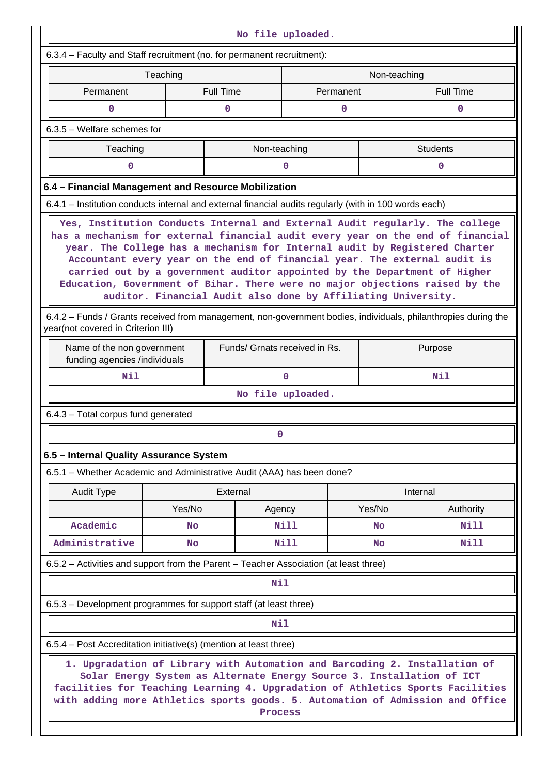|                                                                                                                                                                                                                                                                                                                         |                                                                                                                                                                                                                                                                                                                                                                                                                                                                                                                                                          |                               | No file uploaded. |           |              |                  |  |  |
|-------------------------------------------------------------------------------------------------------------------------------------------------------------------------------------------------------------------------------------------------------------------------------------------------------------------------|----------------------------------------------------------------------------------------------------------------------------------------------------------------------------------------------------------------------------------------------------------------------------------------------------------------------------------------------------------------------------------------------------------------------------------------------------------------------------------------------------------------------------------------------------------|-------------------------------|-------------------|-----------|--------------|------------------|--|--|
| 6.3.4 - Faculty and Staff recruitment (no. for permanent recruitment):                                                                                                                                                                                                                                                  |                                                                                                                                                                                                                                                                                                                                                                                                                                                                                                                                                          |                               |                   |           |              |                  |  |  |
|                                                                                                                                                                                                                                                                                                                         | Teaching                                                                                                                                                                                                                                                                                                                                                                                                                                                                                                                                                 |                               |                   |           | Non-teaching |                  |  |  |
| Permanent                                                                                                                                                                                                                                                                                                               |                                                                                                                                                                                                                                                                                                                                                                                                                                                                                                                                                          | <b>Full Time</b>              |                   | Permanent |              | <b>Full Time</b> |  |  |
| $\mathbf 0$                                                                                                                                                                                                                                                                                                             |                                                                                                                                                                                                                                                                                                                                                                                                                                                                                                                                                          | 0                             |                   | 0         |              | 0                |  |  |
| 6.3.5 - Welfare schemes for                                                                                                                                                                                                                                                                                             |                                                                                                                                                                                                                                                                                                                                                                                                                                                                                                                                                          |                               |                   |           |              |                  |  |  |
| <b>Students</b><br>Teaching<br>Non-teaching                                                                                                                                                                                                                                                                             |                                                                                                                                                                                                                                                                                                                                                                                                                                                                                                                                                          |                               |                   |           |              |                  |  |  |
| 0                                                                                                                                                                                                                                                                                                                       |                                                                                                                                                                                                                                                                                                                                                                                                                                                                                                                                                          |                               | 0                 |           |              | $\mathbf 0$      |  |  |
| 6.4 - Financial Management and Resource Mobilization                                                                                                                                                                                                                                                                    |                                                                                                                                                                                                                                                                                                                                                                                                                                                                                                                                                          |                               |                   |           |              |                  |  |  |
| 6.4.1 – Institution conducts internal and external financial audits regularly (with in 100 words each)                                                                                                                                                                                                                  |                                                                                                                                                                                                                                                                                                                                                                                                                                                                                                                                                          |                               |                   |           |              |                  |  |  |
|                                                                                                                                                                                                                                                                                                                         | Yes, Institution Conducts Internal and External Audit regularly. The college<br>has a mechanism for external financial audit every year on the end of financial<br>year. The College has a mechanism for Internal audit by Registered Charter<br>Accountant every year on the end of financial year. The external audit is<br>carried out by a government auditor appointed by the Department of Higher<br>Education, Government of Bihar. There were no major objections raised by the<br>auditor. Financial Audit also done by Affiliating University. |                               |                   |           |              |                  |  |  |
| 6.4.2 - Funds / Grants received from management, non-government bodies, individuals, philanthropies during the<br>year(not covered in Criterion III)                                                                                                                                                                    |                                                                                                                                                                                                                                                                                                                                                                                                                                                                                                                                                          |                               |                   |           |              |                  |  |  |
| Name of the non government<br>funding agencies /individuals                                                                                                                                                                                                                                                             |                                                                                                                                                                                                                                                                                                                                                                                                                                                                                                                                                          | Funds/ Grnats received in Rs. |                   |           |              | Purpose          |  |  |
| Nil                                                                                                                                                                                                                                                                                                                     |                                                                                                                                                                                                                                                                                                                                                                                                                                                                                                                                                          |                               | $\mathbf{0}$      |           |              | Nil              |  |  |
|                                                                                                                                                                                                                                                                                                                         |                                                                                                                                                                                                                                                                                                                                                                                                                                                                                                                                                          |                               | No file uploaded. |           |              |                  |  |  |
| 6.4.3 - Total corpus fund generated                                                                                                                                                                                                                                                                                     |                                                                                                                                                                                                                                                                                                                                                                                                                                                                                                                                                          |                               |                   |           |              |                  |  |  |
|                                                                                                                                                                                                                                                                                                                         |                                                                                                                                                                                                                                                                                                                                                                                                                                                                                                                                                          |                               |                   |           |              |                  |  |  |
| 6.5 - Internal Quality Assurance System                                                                                                                                                                                                                                                                                 |                                                                                                                                                                                                                                                                                                                                                                                                                                                                                                                                                          |                               |                   |           |              |                  |  |  |
| 6.5.1 - Whether Academic and Administrative Audit (AAA) has been done?                                                                                                                                                                                                                                                  |                                                                                                                                                                                                                                                                                                                                                                                                                                                                                                                                                          |                               |                   |           |              |                  |  |  |
| <b>Audit Type</b>                                                                                                                                                                                                                                                                                                       |                                                                                                                                                                                                                                                                                                                                                                                                                                                                                                                                                          | External                      |                   |           |              | Internal         |  |  |
|                                                                                                                                                                                                                                                                                                                         | Yes/No                                                                                                                                                                                                                                                                                                                                                                                                                                                                                                                                                   | Agency                        |                   |           | Yes/No       | Authority        |  |  |
| Academic                                                                                                                                                                                                                                                                                                                | <b>No</b>                                                                                                                                                                                                                                                                                                                                                                                                                                                                                                                                                |                               | Nill              |           | <b>No</b>    | <b>Nill</b>      |  |  |
| Administrative                                                                                                                                                                                                                                                                                                          | No                                                                                                                                                                                                                                                                                                                                                                                                                                                                                                                                                       |                               | Nill              |           | <b>No</b>    | Nill             |  |  |
| 6.5.2 – Activities and support from the Parent – Teacher Association (at least three)                                                                                                                                                                                                                                   |                                                                                                                                                                                                                                                                                                                                                                                                                                                                                                                                                          |                               |                   |           |              |                  |  |  |
|                                                                                                                                                                                                                                                                                                                         |                                                                                                                                                                                                                                                                                                                                                                                                                                                                                                                                                          | Nil                           |                   |           |              |                  |  |  |
| 6.5.3 – Development programmes for support staff (at least three)                                                                                                                                                                                                                                                       |                                                                                                                                                                                                                                                                                                                                                                                                                                                                                                                                                          |                               |                   |           |              |                  |  |  |
|                                                                                                                                                                                                                                                                                                                         |                                                                                                                                                                                                                                                                                                                                                                                                                                                                                                                                                          | <b>Nil</b>                    |                   |           |              |                  |  |  |
| 6.5.4 - Post Accreditation initiative(s) (mention at least three)                                                                                                                                                                                                                                                       |                                                                                                                                                                                                                                                                                                                                                                                                                                                                                                                                                          |                               |                   |           |              |                  |  |  |
| 1. Upgradation of Library with Automation and Barcoding 2. Installation of<br>Solar Energy System as Alternate Energy Source 3. Installation of ICT<br>facilities for Teaching Learning 4. Upgradation of Athletics Sports Facilities<br>with adding more Athletics sports goods. 5. Automation of Admission and Office |                                                                                                                                                                                                                                                                                                                                                                                                                                                                                                                                                          | Process                       |                   |           |              |                  |  |  |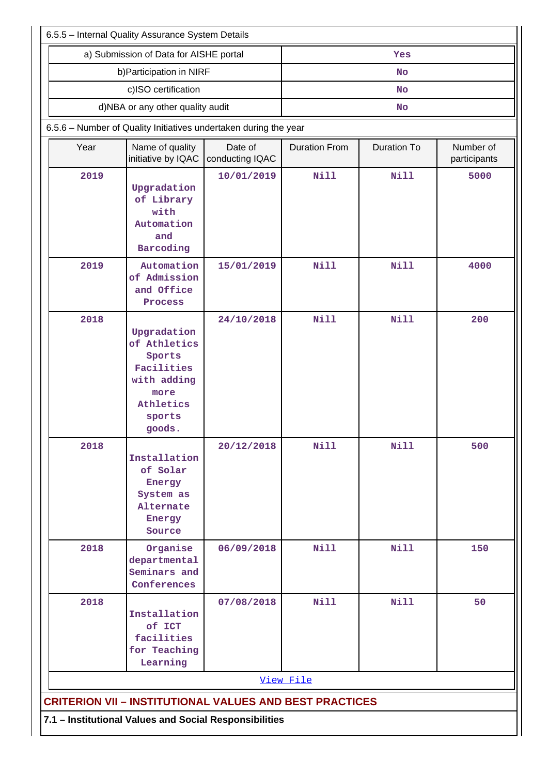| 6.5.5 - Internal Quality Assurance System Details                |                                                                                                             |                            |                      |                    |                           |  |
|------------------------------------------------------------------|-------------------------------------------------------------------------------------------------------------|----------------------------|----------------------|--------------------|---------------------------|--|
|                                                                  | a) Submission of Data for AISHE portal                                                                      |                            |                      | Yes                |                           |  |
|                                                                  | b) Participation in NIRF                                                                                    |                            |                      | No                 |                           |  |
|                                                                  | c)ISO certification                                                                                         |                            | <b>No</b>            |                    |                           |  |
| d)NBA or any other quality audit                                 |                                                                                                             |                            |                      | <b>No</b>          |                           |  |
| 6.5.6 - Number of Quality Initiatives undertaken during the year |                                                                                                             |                            |                      |                    |                           |  |
| Year                                                             | Name of quality<br>initiative by IQAC                                                                       | Date of<br>conducting IQAC | <b>Duration From</b> | <b>Duration To</b> | Number of<br>participants |  |
| 2019                                                             | Upgradation<br>of Library<br>with<br>Automation<br>and<br>Barcoding                                         | 10/01/2019                 | Nill                 | <b>Nill</b>        | 5000                      |  |
| 2019                                                             | Automation<br>of Admission<br>and Office<br>Process                                                         | 15/01/2019                 | <b>Nill</b>          | <b>Nill</b>        | 4000                      |  |
| 2018                                                             | Upgradation<br>of Athletics<br>Sports<br>Facilities<br>with adding<br>more<br>Athletics<br>sports<br>goods. | 24/10/2018                 | Nill                 | <b>Nill</b>        | 200                       |  |
| 2018                                                             | Installation<br>of Solar<br>Energy<br>System as<br>Alternate<br>Energy<br>Source                            | 20/12/2018                 | <b>Nill</b>          | <b>Nill</b>        | 500                       |  |
| 2018                                                             | Organise<br>departmental<br>Seminars and<br>Conferences                                                     | 06/09/2018                 | <b>Nill</b>          | <b>Nill</b>        | 150                       |  |
| 2018                                                             | Installation<br>of ICT<br>facilities<br>for Teaching<br>Learning                                            | 07/08/2018                 | <b>Nill</b>          | <b>Nill</b>        | 50                        |  |
|                                                                  |                                                                                                             |                            | View File            |                    |                           |  |
| <b>CRITERION VII - INSTITUTIONAL VALUES AND BEST PRACTICES</b>   |                                                                                                             |                            |                      |                    |                           |  |
| 7.1 - Institutional Values and Social Responsibilities           |                                                                                                             |                            |                      |                    |                           |  |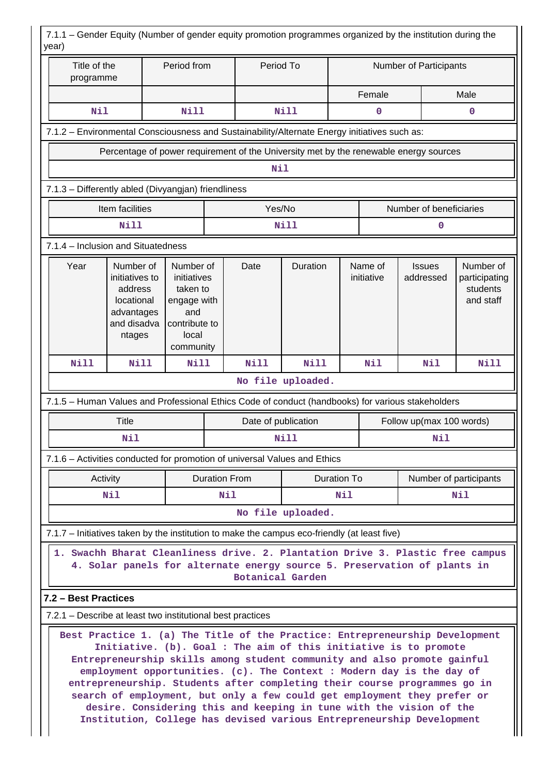| Title of the<br>programme                                                                    |                                                                                             | Period from                                                                                       |     | Period To            |                   |             |                       | Number of Participants                                                                                                                                                                                                                                                                                                                                                                                                                                         |                                                     |
|----------------------------------------------------------------------------------------------|---------------------------------------------------------------------------------------------|---------------------------------------------------------------------------------------------------|-----|----------------------|-------------------|-------------|-----------------------|----------------------------------------------------------------------------------------------------------------------------------------------------------------------------------------------------------------------------------------------------------------------------------------------------------------------------------------------------------------------------------------------------------------------------------------------------------------|-----------------------------------------------------|
|                                                                                              |                                                                                             |                                                                                                   |     |                      |                   | Female      |                       |                                                                                                                                                                                                                                                                                                                                                                                                                                                                | Male                                                |
| Nil                                                                                          |                                                                                             | <b>Nill</b>                                                                                       |     |                      | <b>Nill</b>       |             | $\mathbf 0$           |                                                                                                                                                                                                                                                                                                                                                                                                                                                                | 0                                                   |
| 7.1.2 - Environmental Consciousness and Sustainability/Alternate Energy initiatives such as: |                                                                                             |                                                                                                   |     |                      |                   |             |                       |                                                                                                                                                                                                                                                                                                                                                                                                                                                                |                                                     |
|                                                                                              |                                                                                             |                                                                                                   |     |                      |                   |             |                       | Percentage of power requirement of the University met by the renewable energy sources                                                                                                                                                                                                                                                                                                                                                                          |                                                     |
|                                                                                              |                                                                                             |                                                                                                   |     | Nil                  |                   |             |                       |                                                                                                                                                                                                                                                                                                                                                                                                                                                                |                                                     |
| 7.1.3 - Differently abled (Divyangjan) friendliness                                          |                                                                                             |                                                                                                   |     |                      |                   |             |                       |                                                                                                                                                                                                                                                                                                                                                                                                                                                                |                                                     |
|                                                                                              | Item facilities                                                                             |                                                                                                   |     | Yes/No               |                   |             |                       | Number of beneficiaries                                                                                                                                                                                                                                                                                                                                                                                                                                        |                                                     |
|                                                                                              | <b>Nill</b>                                                                                 |                                                                                                   |     |                      | <b>Nill</b>       |             |                       | 0                                                                                                                                                                                                                                                                                                                                                                                                                                                              |                                                     |
| 7.1.4 - Inclusion and Situatedness                                                           |                                                                                             |                                                                                                   |     |                      |                   |             |                       |                                                                                                                                                                                                                                                                                                                                                                                                                                                                |                                                     |
| Year                                                                                         | Number of<br>initiatives to<br>address<br>locational<br>advantages<br>and disadva<br>ntages | Number of<br>initiatives<br>taken to<br>engage with<br>and<br>contribute to<br>local<br>community |     | Date                 | Duration          |             | Name of<br>initiative | <b>Issues</b><br>addressed                                                                                                                                                                                                                                                                                                                                                                                                                                     | Number of<br>participating<br>students<br>and staff |
| <b>Nill</b>                                                                                  | <b>Nill</b>                                                                                 | <b>Nill</b>                                                                                       |     | <b>Nill</b>          | <b>Nill</b>       |             | Nil                   | Nil                                                                                                                                                                                                                                                                                                                                                                                                                                                            | <b>Nill</b>                                         |
|                                                                                              |                                                                                             |                                                                                                   |     |                      | No file uploaded. |             |                       |                                                                                                                                                                                                                                                                                                                                                                                                                                                                |                                                     |
|                                                                                              |                                                                                             |                                                                                                   |     |                      |                   |             |                       | 7.1.5 - Human Values and Professional Ethics Code of conduct (handbooks) for various stakeholders                                                                                                                                                                                                                                                                                                                                                              |                                                     |
|                                                                                              | <b>Title</b>                                                                                |                                                                                                   |     | Date of publication  |                   |             |                       | Follow up(max 100 words)                                                                                                                                                                                                                                                                                                                                                                                                                                       |                                                     |
|                                                                                              | Nil                                                                                         |                                                                                                   |     |                      | Nill              |             |                       | Nil                                                                                                                                                                                                                                                                                                                                                                                                                                                            |                                                     |
| 7.1.6 - Activities conducted for promotion of universal Values and Ethics                    |                                                                                             |                                                                                                   |     |                      |                   |             |                       |                                                                                                                                                                                                                                                                                                                                                                                                                                                                |                                                     |
|                                                                                              | Activity                                                                                    |                                                                                                   |     | <b>Duration From</b> |                   | Duration To |                       |                                                                                                                                                                                                                                                                                                                                                                                                                                                                | Number of participants                              |
|                                                                                              | Nil                                                                                         |                                                                                                   | Nil |                      |                   | Nil         | Nil                   |                                                                                                                                                                                                                                                                                                                                                                                                                                                                |                                                     |
|                                                                                              |                                                                                             |                                                                                                   |     |                      | No file uploaded. |             |                       |                                                                                                                                                                                                                                                                                                                                                                                                                                                                |                                                     |
| 7.1.7 – Initiatives taken by the institution to make the campus eco-friendly (at least five) |                                                                                             |                                                                                                   |     |                      |                   |             |                       |                                                                                                                                                                                                                                                                                                                                                                                                                                                                |                                                     |
|                                                                                              |                                                                                             |                                                                                                   |     | Botanical Garden     |                   |             |                       | 1. Swachh Bharat Cleanliness drive. 2. Plantation Drive 3. Plastic free campus<br>4. Solar panels for alternate energy source 5. Preservation of plants in                                                                                                                                                                                                                                                                                                     |                                                     |
| 7.2 - Best Practices                                                                         |                                                                                             |                                                                                                   |     |                      |                   |             |                       |                                                                                                                                                                                                                                                                                                                                                                                                                                                                |                                                     |
| 7.2.1 – Describe at least two institutional best practices                                   |                                                                                             |                                                                                                   |     |                      |                   |             |                       |                                                                                                                                                                                                                                                                                                                                                                                                                                                                |                                                     |
|                                                                                              |                                                                                             |                                                                                                   |     |                      |                   |             |                       | Best Practice 1. (a) The Title of the Practice: Entrepreneurship Development<br>Initiative. (b). Goal : The aim of this initiative is to promote<br>Entrepreneurship skills among student community and also promote gainful<br>employment opportunities. (c). The Context : Modern day is the day of<br>entrepreneurship. Students after completing their course programmes go in<br>search of employment, but only a few could get employment they prefer or |                                                     |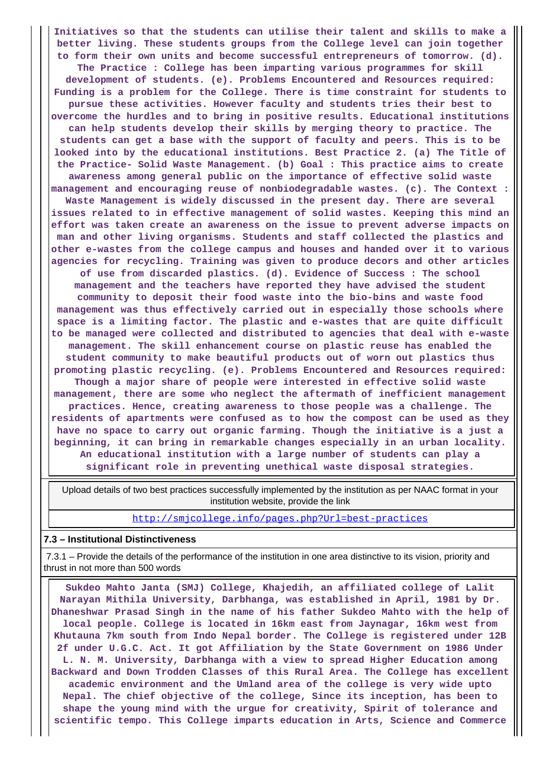**Initiatives so that the students can utilise their talent and skills to make a better living. These students groups from the College level can join together to form their own units and become successful entrepreneurs of tomorrow. (d). The Practice : College has been imparting various programmes for skill development of students. (e). Problems Encountered and Resources required: Funding is a problem for the College. There is time constraint for students to pursue these activities. However faculty and students tries their best to overcome the hurdles and to bring in positive results. Educational institutions can help students develop their skills by merging theory to practice. The students can get a base with the support of faculty and peers. This is to be looked into by the educational institutions. Best Practice 2. (a) The Title of the Practice- Solid Waste Management. (b) Goal : This practice aims to create awareness among general public on the importance of effective solid waste management and encouraging reuse of nonbiodegradable wastes. (c). The Context : Waste Management is widely discussed in the present day. There are several issues related to in effective management of solid wastes. Keeping this mind an effort was taken create an awareness on the issue to prevent adverse impacts on man and other living organisms. Students and staff collected the plastics and other e-wastes from the college campus and houses and handed over it to various agencies for recycling. Training was given to produce decors and other articles of use from discarded plastics. (d). Evidence of Success : The school management and the teachers have reported they have advised the student community to deposit their food waste into the bio-bins and waste food management was thus effectively carried out in especially those schools where space is a limiting factor. The plastic and e-wastes that are quite difficult to be managed were collected and distributed to agencies that deal with e-waste management. The skill enhancement course on plastic reuse has enabled the student community to make beautiful products out of worn out plastics thus promoting plastic recycling. (e). Problems Encountered and Resources required: Though a major share of people were interested in effective solid waste management, there are some who neglect the aftermath of inefficient management practices. Hence, creating awareness to those people was a challenge. The residents of apartments were confused as to how the compost can be used as they have no space to carry out organic farming. Though the initiative is a just a beginning, it can bring in remarkable changes especially in an urban locality. An educational institution with a large number of students can play a significant role in preventing unethical waste disposal strategies.**

 Upload details of two best practices successfully implemented by the institution as per NAAC format in your institution website, provide the link

<http://smjcollege.info/pages.php?Url=best-practices>

#### **7.3 – Institutional Distinctiveness**

 7.3.1 – Provide the details of the performance of the institution in one area distinctive to its vision, priority and thrust in not more than 500 words

 **Sukdeo Mahto Janta (SMJ) College, Khajedih, an affiliated college of Lalit Narayan Mithila University, Darbhanga, was established in April, 1981 by Dr. Dhaneshwar Prasad Singh in the name of his father Sukdeo Mahto with the help of local people. College is located in 16km east from Jaynagar, 16km west from Khutauna 7km south from Indo Nepal border. The College is registered under 12B 2f under U.G.C. Act. It got Affiliation by the State Government on 1986 Under L. N. M. University, Darbhanga with a view to spread Higher Education among Backward and Down Trodden Classes of this Rural Area. The College has excellent academic environment and the Umland area of the college is very wide upto Nepal. The chief objective of the college, Since its inception, has been to shape the young mind with the urgue for creativity, Spirit of tolerance and scientific tempo. This College imparts education in Arts, Science and Commerce**